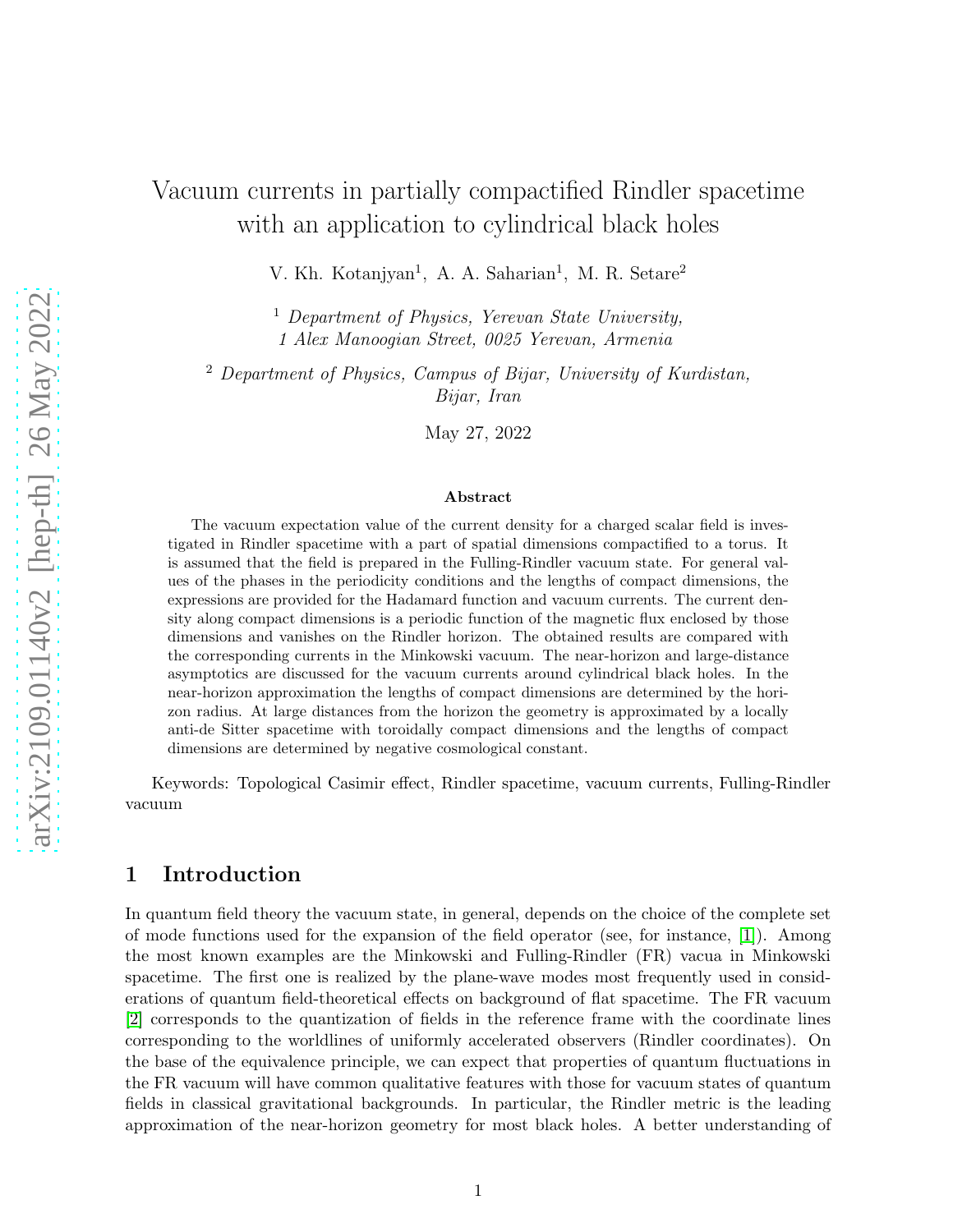# Vacuum currents in partially compactified Rindler spacetime with an application to cylindrical black holes

V. Kh. Kotanjyan<sup>1</sup>, A. A. Saharian<sup>1</sup>, M. R. Setare<sup>2</sup>

 $<sup>1</sup>$  Department of Physics, Yerevan State University,</sup> 1 Alex Manoogian Street, 0025 Yerevan, Armenia

<sup>2</sup> Department of Physics, Campus of Bijar, University of Kurdistan, Bijar, Iran

May 27, 2022

#### Abstract

The vacuum expectation value of the current density for a charged scalar field is investigated in Rindler spacetime with a part of spatial dimensions compactified to a torus. It is assumed that the field is prepared in the Fulling-Rindler vacuum state. For general values of the phases in the periodicity conditions and the lengths of compact dimensions, the expressions are provided for the Hadamard function and vacuum currents. The current density along compact dimensions is a periodic function of the magnetic flux enclosed by those dimensions and vanishes on the Rindler horizon. The obtained results are compared with the corresponding currents in the Minkowski vacuum. The near-horizon and large-distance asymptotics are discussed for the vacuum currents around cylindrical black holes. In the near-horizon approximation the lengths of compact dimensions are determined by the horizon radius. At large distances from the horizon the geometry is approximated by a locally anti-de Sitter spacetime with toroidally compact dimensions and the lengths of compact dimensions are determined by negative cosmological constant.

Keywords: Topological Casimir effect, Rindler spacetime, vacuum currents, Fulling-Rindler vacuum

### 1 Introduction

In quantum field theory the vacuum state, in general, depends on the choice of the complete set of mode functions used for the expansion of the field operator (see, for instance, [\[1\]](#page-13-0)). Among the most known examples are the Minkowski and Fulling-Rindler (FR) vacua in Minkowski spacetime. The first one is realized by the plane-wave modes most frequently used in considerations of quantum field-theoretical effects on background of flat spacetime. The FR vacuum [\[2\]](#page-13-1) corresponds to the quantization of fields in the reference frame with the coordinate lines corresponding to the worldlines of uniformly accelerated observers (Rindler coordinates). On the base of the equivalence principle, we can expect that properties of quantum fluctuations in the FR vacuum will have common qualitative features with those for vacuum states of quantum fields in classical gravitational backgrounds. In particular, the Rindler metric is the leading approximation of the near-horizon geometry for most black holes. A better understanding of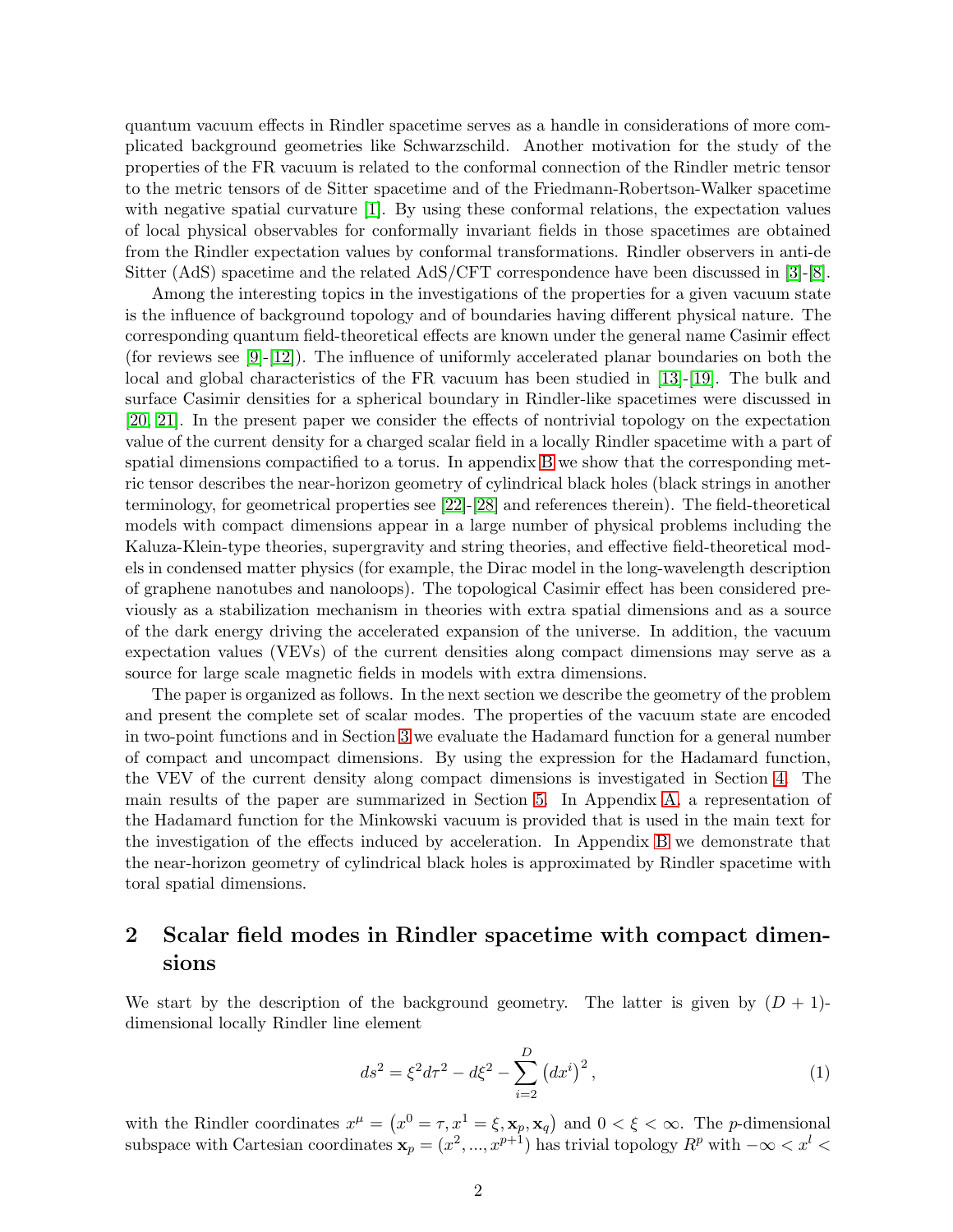quantum vacuum effects in Rindler spacetime serves as a handle in considerations of more complicated background geometries like Schwarzschild. Another motivation for the study of the properties of the FR vacuum is related to the conformal connection of the Rindler metric tensor to the metric tensors of de Sitter spacetime and of the Friedmann-Robertson-Walker spacetime with negative spatial curvature [\[1\]](#page-13-0). By using these conformal relations, the expectation values of local physical observables for conformally invariant fields in those spacetimes are obtained from the Rindler expectation values by conformal transformations. Rindler observers in anti-de Sitter (AdS) spacetime and the related AdS/CFT correspondence have been discussed in [\[3\]](#page-13-2)-[\[8\]](#page-13-3).

Among the interesting topics in the investigations of the properties for a given vacuum state is the influence of background topology and of boundaries having different physical nature. The corresponding quantum field-theoretical effects are known under the general name Casimir effect (for reviews see [\[9\]](#page-13-4)-[\[12\]](#page-13-5)). The influence of uniformly accelerated planar boundaries on both the local and global characteristics of the FR vacuum has been studied in [\[13\]](#page-14-0)-[\[19\]](#page-14-1). The bulk and surface Casimir densities for a spherical boundary in Rindler-like spacetimes were discussed in [\[20,](#page-14-2) [21\]](#page-14-3). In the present paper we consider the effects of nontrivial topology on the expectation value of the current density for a charged scalar field in a locally Rindler spacetime with a part of spatial dimensions compactified to a torus. In appendix [B](#page-12-0) we show that the corresponding metric tensor describes the near-horizon geometry of cylindrical black holes (black strings in another terminology, for geometrical properties see [\[22\]](#page-14-4)-[\[28\]](#page-14-5) and references therein). The field-theoretical models with compact dimensions appear in a large number of physical problems including the Kaluza-Klein-type theories, supergravity and string theories, and effective field-theoretical models in condensed matter physics (for example, the Dirac model in the long-wavelength description of graphene nanotubes and nanoloops). The topological Casimir effect has been considered previously as a stabilization mechanism in theories with extra spatial dimensions and as a source of the dark energy driving the accelerated expansion of the universe. In addition, the vacuum expectation values (VEVs) of the current densities along compact dimensions may serve as a source for large scale magnetic fields in models with extra dimensions.

The paper is organized as follows. In the next section we describe the geometry of the problem and present the complete set of scalar modes. The properties of the vacuum state are encoded in two-point functions and in Section [3](#page-3-0) we evaluate the Hadamard function for a general number of compact and uncompact dimensions. By using the expression for the Hadamard function, the VEV of the current density along compact dimensions is investigated in Section [4.](#page-5-0) The main results of the paper are summarized in Section [5.](#page-11-0) In Appendix [A,](#page-12-1) a representation of the Hadamard function for the Minkowski vacuum is provided that is used in the main text for the investigation of the effects induced by acceleration. In Appendix [B](#page-12-0) we demonstrate that the near-horizon geometry of cylindrical black holes is approximated by Rindler spacetime with toral spatial dimensions.

# <span id="page-1-1"></span>2 Scalar field modes in Rindler spacetime with compact dimensions

We start by the description of the background geometry. The latter is given by  $(D + 1)$ dimensional locally Rindler line element

<span id="page-1-0"></span>
$$
ds^{2} = \xi^{2} d\tau^{2} - d\xi^{2} - \sum_{i=2}^{D} (dx^{i})^{2},
$$
\n(1)

with the Rindler coordinates  $x^{\mu} = (x^0 = \tau, x^1 = \xi, \mathbf{x}_p, \mathbf{x}_q)$  and  $0 < \xi < \infty$ . The *p*-dimensional subspace with Cartesian coordinates  $\mathbf{x}_p = (x^2, ..., x^{p+1})$  has trivial topology  $R^p$  with  $-\infty < x^l <$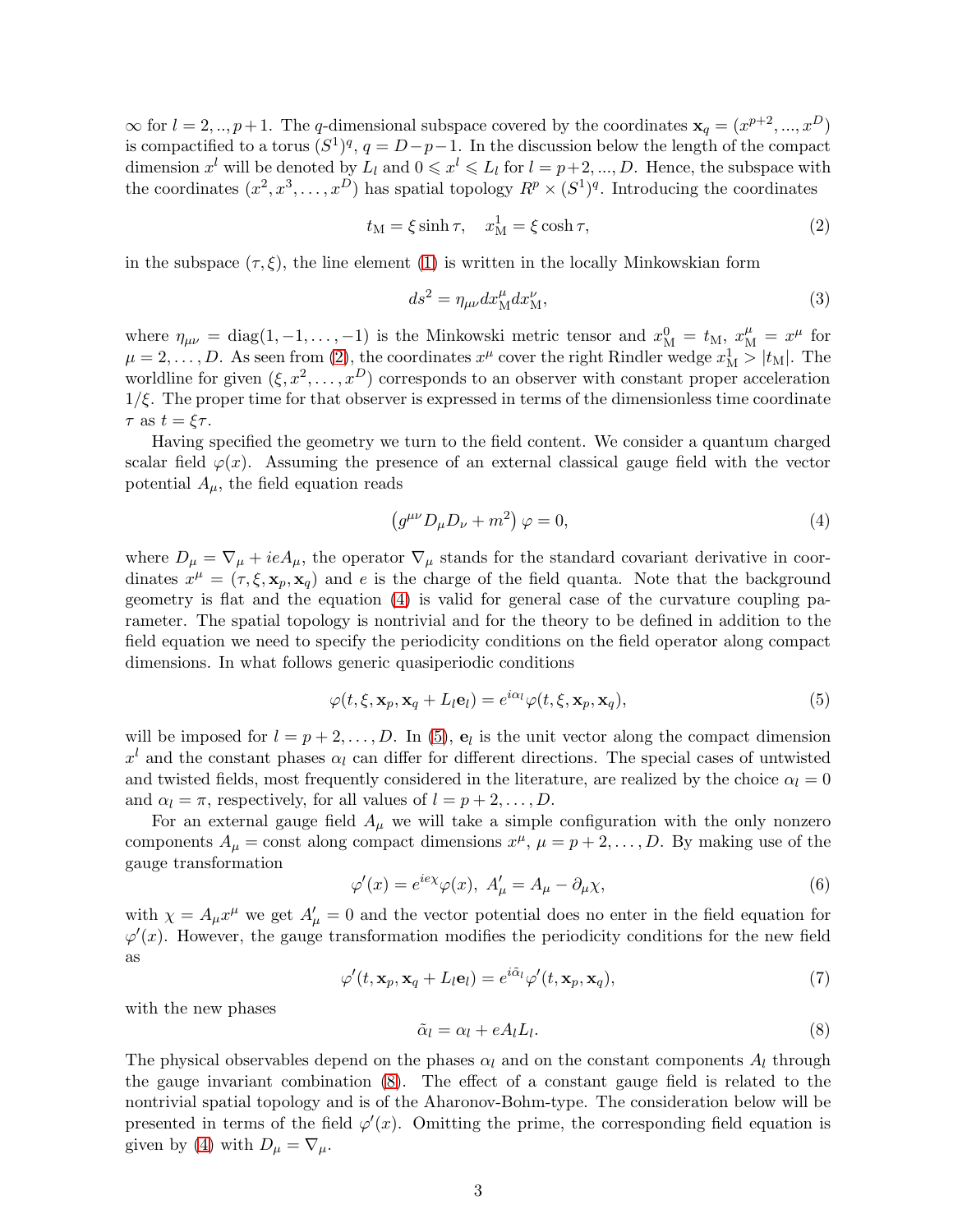$\infty$  for  $l = 2, ..., p+1$ . The q-dimensional subspace covered by the coordinates  $\mathbf{x}_q = (x^{p+2}, ..., x^D)$ is compactified to a torus  $(S^1)^q$ ,  $q = D-p-1$ . In the discussion below the length of the compact dimension  $x^l$  will be denoted by  $L_l$  and  $0 \leqslant x^l \leqslant L_l$  for  $l = p+2, ..., D$ . Hence, the subspace with the coordinates  $(x^2, x^3, \dots, x^D)$  has spatial topology  $R^p \times (S^1)^q$ . Introducing the coordinates

<span id="page-2-0"></span>
$$
t_{\rm M} = \xi \sinh \tau, \quad x_{\rm M}^1 = \xi \cosh \tau, \tag{2}
$$

in the subspace  $(\tau, \xi)$ , the line element [\(1\)](#page-1-0) is written in the locally Minkowskian form

<span id="page-2-5"></span>
$$
ds^2 = \eta_{\mu\nu} dx_M^{\mu} dx_M^{\nu},\tag{3}
$$

where  $\eta_{\mu\nu} = \text{diag}(1, -1, \dots, -1)$  is the Minkowski metric tensor and  $x_M^0 = t_M$ ,  $x_M^\mu = x^\mu$  for  $\mu = 2, \ldots, D$ . As seen from [\(2\)](#page-2-0), the coordinates  $x^{\mu}$  cover the right Rindler wedge  $x_{\text{M}}^1 > |t_{\text{M}}|$ . The worldline for given  $(\xi, x^2, \dots, x^D)$  corresponds to an observer with constant proper acceleration  $1/\xi$ . The proper time for that observer is expressed in terms of the dimensionless time coordinate  $\tau$  as  $t = \xi \tau$ .

Having specified the geometry we turn to the field content. We consider a quantum charged scalar field  $\varphi(x)$ . Assuming the presence of an external classical gauge field with the vector potential  $A_{\mu}$ , the field equation reads

<span id="page-2-1"></span>
$$
\left(g^{\mu\nu}D_{\mu}D_{\nu} + m^2\right)\varphi = 0,\tag{4}
$$

where  $D_{\mu} = \nabla_{\mu} + ieA_{\mu}$ , the operator  $\nabla_{\mu}$  stands for the standard covariant derivative in coordinates  $x^{\mu} = (\tau, \xi, \mathbf{x}_p, \mathbf{x}_q)$  and e is the charge of the field quanta. Note that the background geometry is flat and the equation [\(4\)](#page-2-1) is valid for general case of the curvature coupling parameter. The spatial topology is nontrivial and for the theory to be defined in addition to the field equation we need to specify the periodicity conditions on the field operator along compact dimensions. In what follows generic quasiperiodic conditions

<span id="page-2-2"></span>
$$
\varphi(t,\xi,\mathbf{x}_p,\mathbf{x}_q+L_l\mathbf{e}_l)=e^{i\alpha_l}\varphi(t,\xi,\mathbf{x}_p,\mathbf{x}_q),\tag{5}
$$

will be imposed for  $l = p + 2, \ldots, D$ . In [\(5\)](#page-2-2),  $\mathbf{e}_l$  is the unit vector along the compact dimension  $x^{l}$  and the constant phases  $\alpha_{l}$  can differ for different directions. The special cases of untwisted and twisted fields, most frequently considered in the literature, are realized by the choice  $\alpha_l = 0$ and  $\alpha_l = \pi$ , respectively, for all values of  $l = p + 2, \ldots, D$ .

For an external gauge field  $A_\mu$  we will take a simple configuration with the only nonzero components  $A_{\mu} = \text{const}$  along compact dimensions  $x^{\mu}$ ,  $\mu = p + 2, \dots, D$ . By making use of the gauge transformation

<span id="page-2-6"></span>
$$
\varphi'(x) = e^{ie\chi}\varphi(x), \ A'_{\mu} = A_{\mu} - \partial_{\mu}\chi,\tag{6}
$$

with  $\chi = A_{\mu}x^{\mu}$  we get  $A'_{\mu} = 0$  and the vector potential does no enter in the field equation for  $\varphi'(x)$ . However, the gauge transformation modifies the periodicity conditions for the new field as

<span id="page-2-4"></span>
$$
\varphi'(t, \mathbf{x}_p, \mathbf{x}_q + L_l \mathbf{e}_l) = e^{i\tilde{\alpha}_l} \varphi'(t, \mathbf{x}_p, \mathbf{x}_q),\tag{7}
$$

with the new phases

<span id="page-2-3"></span>
$$
\tilde{\alpha}_l = \alpha_l + eA_l L_l. \tag{8}
$$

The physical observables depend on the phases  $\alpha_l$  and on the constant components  $A_l$  through the gauge invariant combination [\(8\)](#page-2-3). The effect of a constant gauge field is related to the nontrivial spatial topology and is of the Aharonov-Bohm-type. The consideration below will be presented in terms of the field  $\varphi'(x)$ . Omitting the prime, the corresponding field equation is given by [\(4\)](#page-2-1) with  $D_{\mu} = \nabla_{\mu}$ .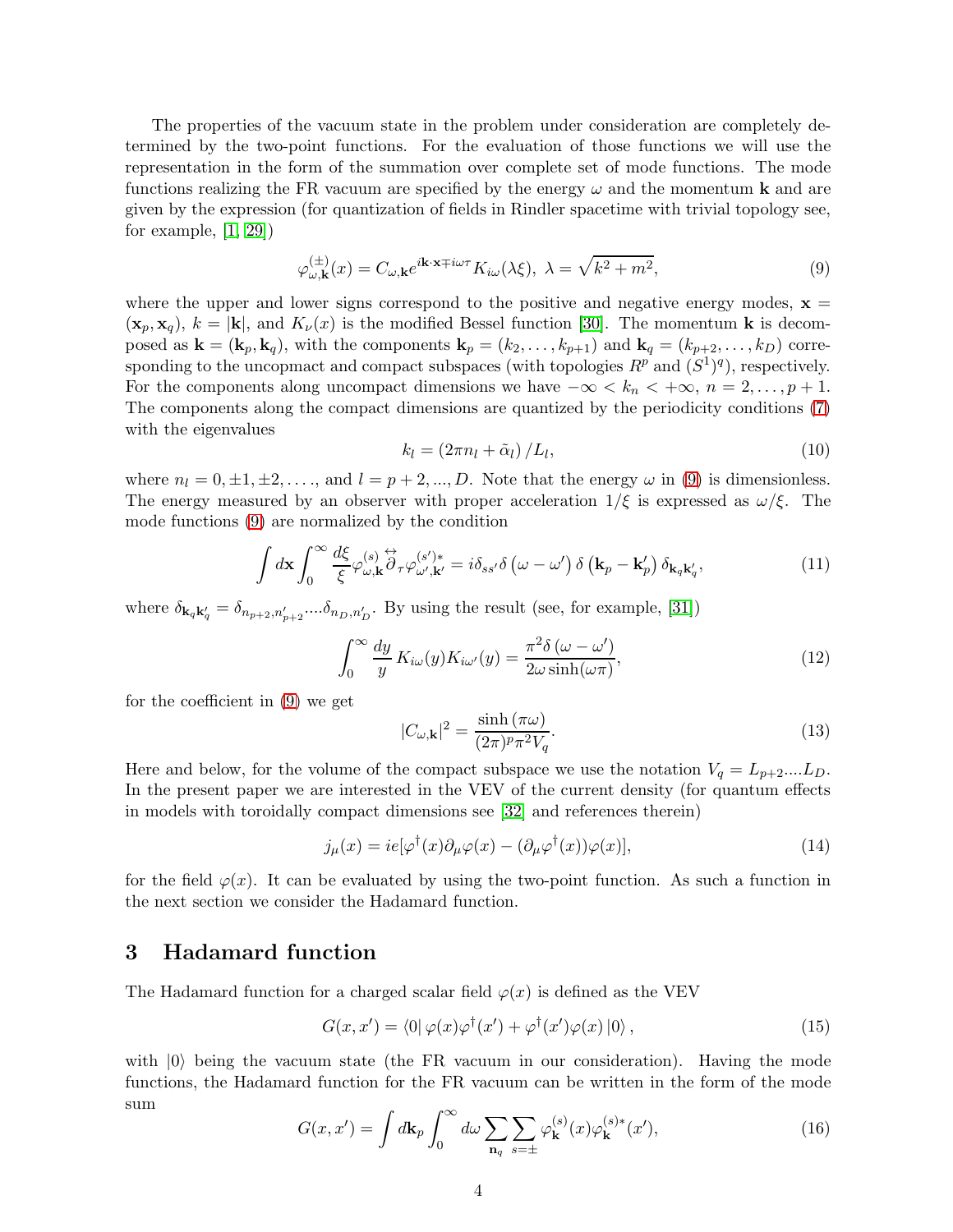The properties of the vacuum state in the problem under consideration are completely determined by the two-point functions. For the evaluation of those functions we will use the representation in the form of the summation over complete set of mode functions. The mode functions realizing the FR vacuum are specified by the energy  $\omega$  and the momentum **k** and are given by the expression (for quantization of fields in Rindler spacetime with trivial topology see, for example, [\[1,](#page-13-0) [29\]](#page-14-6))

<span id="page-3-1"></span>
$$
\varphi_{\omega,\mathbf{k}}^{(\pm)}(x) = C_{\omega,\mathbf{k}} e^{i\mathbf{k}\cdot\mathbf{x} \mp i\omega\tau} K_{i\omega}(\lambda \xi), \ \lambda = \sqrt{k^2 + m^2},\tag{9}
$$

where the upper and lower signs correspond to the positive and negative energy modes,  $x =$  $(\mathbf{x}_p, \mathbf{x}_q)$ ,  $k = |\mathbf{k}|$ , and  $K_\nu(x)$  is the modified Bessel function [\[30\]](#page-14-7). The momentum **k** is decomposed as  $\mathbf{k} = (\mathbf{k}_p, \mathbf{k}_q)$ , with the components  $\mathbf{k}_p = (k_2, \ldots, k_{p+1})$  and  $\mathbf{k}_q = (k_{p+2}, \ldots, k_D)$  corresponding to the uncopmact and compact subspaces (with topologies  $R^p$  and  $(S^1)^q$ ), respectively. For the components along uncompact dimensions we have  $-\infty < k_n < +\infty$ ,  $n = 2, \ldots, p + 1$ . The components along the compact dimensions are quantized by the periodicity conditions [\(7\)](#page-2-4) with the eigenvalues

<span id="page-3-3"></span>
$$
k_l = \left(2\pi n_l + \tilde{\alpha}_l\right)/L_l,\tag{10}
$$

where  $n_l = 0, \pm 1, \pm 2, \ldots$ , and  $l = p + 2, \ldots, D$ . Note that the energy  $\omega$  in [\(9\)](#page-3-1) is dimensionless. The energy measured by an observer with proper acceleration  $1/\xi$  is expressed as  $\omega/\xi$ . The mode functions [\(9\)](#page-3-1) are normalized by the condition

$$
\int d\mathbf{x} \int_0^\infty \frac{d\xi}{\xi} \varphi_{\omega,\mathbf{k}}^{(s)} \partial_\tau \varphi_{\omega',\mathbf{k}'}^{(s')*} = i \delta_{ss'} \delta\left(\omega - \omega'\right) \delta\left(\mathbf{k}_p - \mathbf{k}_p'\right) \delta_{\mathbf{k}_q \mathbf{k}_q'},\tag{11}
$$

where  $\delta_{\mathbf{k}_q\mathbf{k}'_q} = \delta_{n_{p+2},n'_{p+2}}...\delta_{n_D,n'_D}$ . By using the result (see, for example, [\[31\]](#page-14-8))

$$
\int_0^\infty \frac{dy}{y} K_{i\omega}(y) K_{i\omega'}(y) = \frac{\pi^2 \delta(\omega - \omega')}{2\omega \sinh(\omega \pi)},
$$
\n(12)

for the coefficient in [\(9\)](#page-3-1) we get

$$
|C_{\omega,\mathbf{k}}|^2 = \frac{\sinh(\pi\omega)}{(2\pi)^p \pi^2 V_q}.
$$
\n(13)

Here and below, for the volume of the compact subspace we use the notation  $V_q = L_{p+2}$ ....L<sub>D</sub>. In the present paper we are interested in the VEV of the current density (for quantum effects in models with toroidally compact dimensions see [\[32\]](#page-15-0) and references therein)

<span id="page-3-2"></span>
$$
j_{\mu}(x) = ie[\varphi^{\dagger}(x)\partial_{\mu}\varphi(x) - (\partial_{\mu}\varphi^{\dagger}(x))\varphi(x)],
$$
\n(14)

for the field  $\varphi(x)$ . It can be evaluated by using the two-point function. As such a function in the next section we consider the Hadamard function.

### <span id="page-3-0"></span>3 Hadamard function

The Hadamard function for a charged scalar field  $\varphi(x)$  is defined as the VEV

$$
G(x, x') = \langle 0 | \varphi(x) \varphi^{\dagger}(x') + \varphi^{\dagger}(x') \varphi(x) | 0 \rangle, \qquad (15)
$$

with  $|0\rangle$  being the vacuum state (the FR vacuum in our consideration). Having the mode functions, the Hadamard function for the FR vacuum can be written in the form of the mode sum

$$
G(x, x') = \int d\mathbf{k}_p \int_0^\infty d\omega \sum_{\mathbf{n}_q} \sum_{s=\pm} \varphi_{\mathbf{k}}^{(s)}(x) \varphi_{\mathbf{k}}^{(s)*}(x'),\tag{16}
$$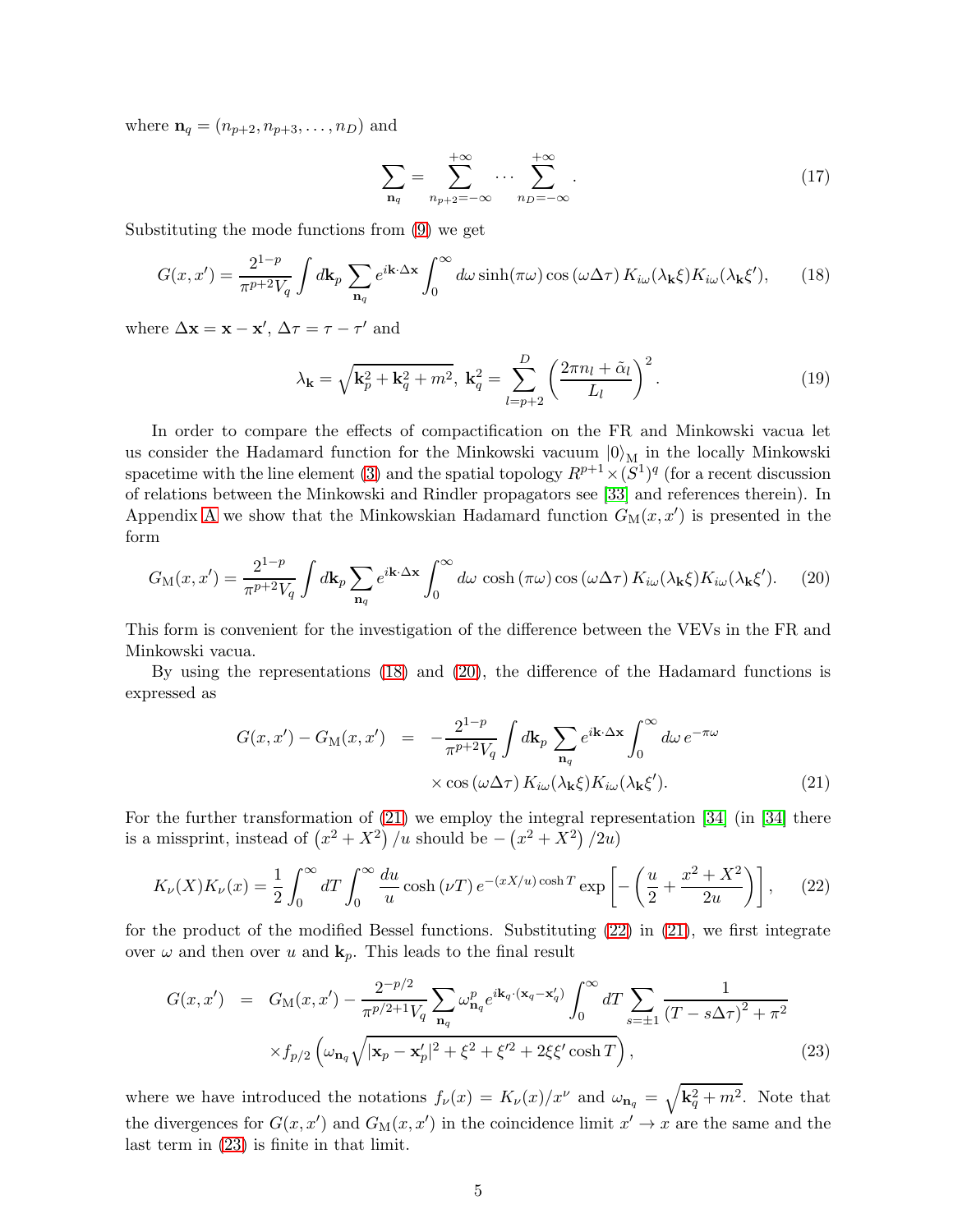where  $n_q = (n_{p+2}, n_{p+3}, \ldots, n_D)$  and

$$
\sum_{\mathbf{n}_q} = \sum_{n_{p+2}=-\infty}^{+\infty} \cdots \sum_{n_D=-\infty}^{+\infty} . \tag{17}
$$

Substituting the mode functions from [\(9\)](#page-3-1) we get

<span id="page-4-0"></span>
$$
G(x, x') = \frac{2^{1-p}}{\pi^{p+2}V_q} \int d\mathbf{k}_p \sum_{\mathbf{n}_q} e^{i\mathbf{k}\cdot\Delta\mathbf{x}} \int_0^\infty d\omega \sinh(\pi\omega) \cos(\omega\Delta\tau) K_{i\omega}(\lambda_\mathbf{k}\xi) K_{i\omega}(\lambda_\mathbf{k}\xi'), \qquad (18)
$$

where  $\Delta \mathbf{x} = \mathbf{x} - \mathbf{x}'$ ,  $\Delta \tau = \tau - \tau'$  and

$$
\lambda_{\mathbf{k}} = \sqrt{\mathbf{k}_p^2 + \mathbf{k}_q^2 + m^2}, \ \mathbf{k}_q^2 = \sum_{l=p+2}^D \left(\frac{2\pi n_l + \tilde{\alpha}_l}{L_l}\right)^2.
$$
 (19)

In order to compare the effects of compactification on the FR and Minkowski vacua let us consider the Hadamard function for the Minkowski vacuum  $|0\rangle_M$  in the locally Minkowski spacetime with the line element [\(3\)](#page-2-5) and the spatial topology  $R^{p+1} \times (S^1)^q$  (for a recent discussion of relations between the Minkowski and Rindler propagators see [\[33\]](#page-15-1) and references therein). In Appendix [A](#page-12-1) we show that the Minkowskian Hadamard function  $G_M(x, x')$  is presented in the form

<span id="page-4-1"></span>
$$
G_{\rm M}(x,x') = \frac{2^{1-p}}{\pi^{p+2}V_q} \int d\mathbf{k}_p \sum_{\mathbf{n}_q} e^{i\mathbf{k}\cdot\Delta\mathbf{x}} \int_0^\infty d\omega \, \cosh\left(\pi\omega\right) \cos\left(\omega\Delta\tau\right) K_{i\omega}(\lambda_\mathbf{k}\xi) K_{i\omega}(\lambda_\mathbf{k}\xi'). \tag{20}
$$

This form is convenient for the investigation of the difference between the VEVs in the FR and Minkowski vacua.

By using the representations [\(18\)](#page-4-0) and [\(20\)](#page-4-1), the difference of the Hadamard functions is expressed as

<span id="page-4-2"></span>
$$
G(x, x') - G_M(x, x') = -\frac{2^{1-p}}{\pi^{p+2}V_q} \int d\mathbf{k}_p \sum_{\mathbf{n}_q} e^{i\mathbf{k}\cdot\Delta\mathbf{x}} \int_0^\infty d\omega \, e^{-\pi\omega} \times \cos(\omega\Delta\tau) K_{i\omega}(\lambda_\mathbf{k}\xi) K_{i\omega}(\lambda_\mathbf{k}\xi'). \tag{21}
$$

For the further transformation of [\(21\)](#page-4-2) we employ the integral representation [\[34\]](#page-15-2) (in [\[34\]](#page-15-2) there is a missprint, instead of  $(x^2 + X^2)/u$  should be  $-\left(x^2 + X^2\right)/2u$ 

<span id="page-4-3"></span>
$$
K_{\nu}(X)K_{\nu}(x) = \frac{1}{2} \int_0^{\infty} dT \int_0^{\infty} \frac{du}{u} \cosh(\nu T) e^{-(xX/u)\cosh T} \exp\left[-\left(\frac{u}{2} + \frac{x^2 + X^2}{2u}\right)\right],\tag{22}
$$

for the product of the modified Bessel functions. Substituting [\(22\)](#page-4-3) in [\(21\)](#page-4-2), we first integrate over  $\omega$  and then over u and  $\mathbf{k}_p$ . This leads to the final result

<span id="page-4-4"></span>
$$
G(x, x') = G_M(x, x') - \frac{2^{-p/2}}{\pi^{p/2+1} V_q} \sum_{\mathbf{n}_q} \omega_{\mathbf{n}_q}^p e^{i\mathbf{k}_q \cdot (\mathbf{x}_q - \mathbf{x}'_q)} \int_0^\infty dT \sum_{s = \pm 1} \frac{1}{(T - s\Delta\tau)^2 + \pi^2} \times f_{p/2} \left( \omega_{\mathbf{n}_q} \sqrt{|\mathbf{x}_p - \mathbf{x}'_p|^2 + \xi^2 + \xi'^2 + 2\xi\xi' \cosh T} \right),
$$
\n(23)

where we have introduced the notations  $f_{\nu}(x) = K_{\nu}(x)/x^{\nu}$  and  $\omega_{\mathbf{n}_q} = \sqrt{\mathbf{k}_q^2 + m^2}$ . Note that the divergences for  $G(x, x')$  and  $G_M(x, x')$  in the coincidence limit  $x' \to x$  are the same and the last term in [\(23\)](#page-4-4) is finite in that limit.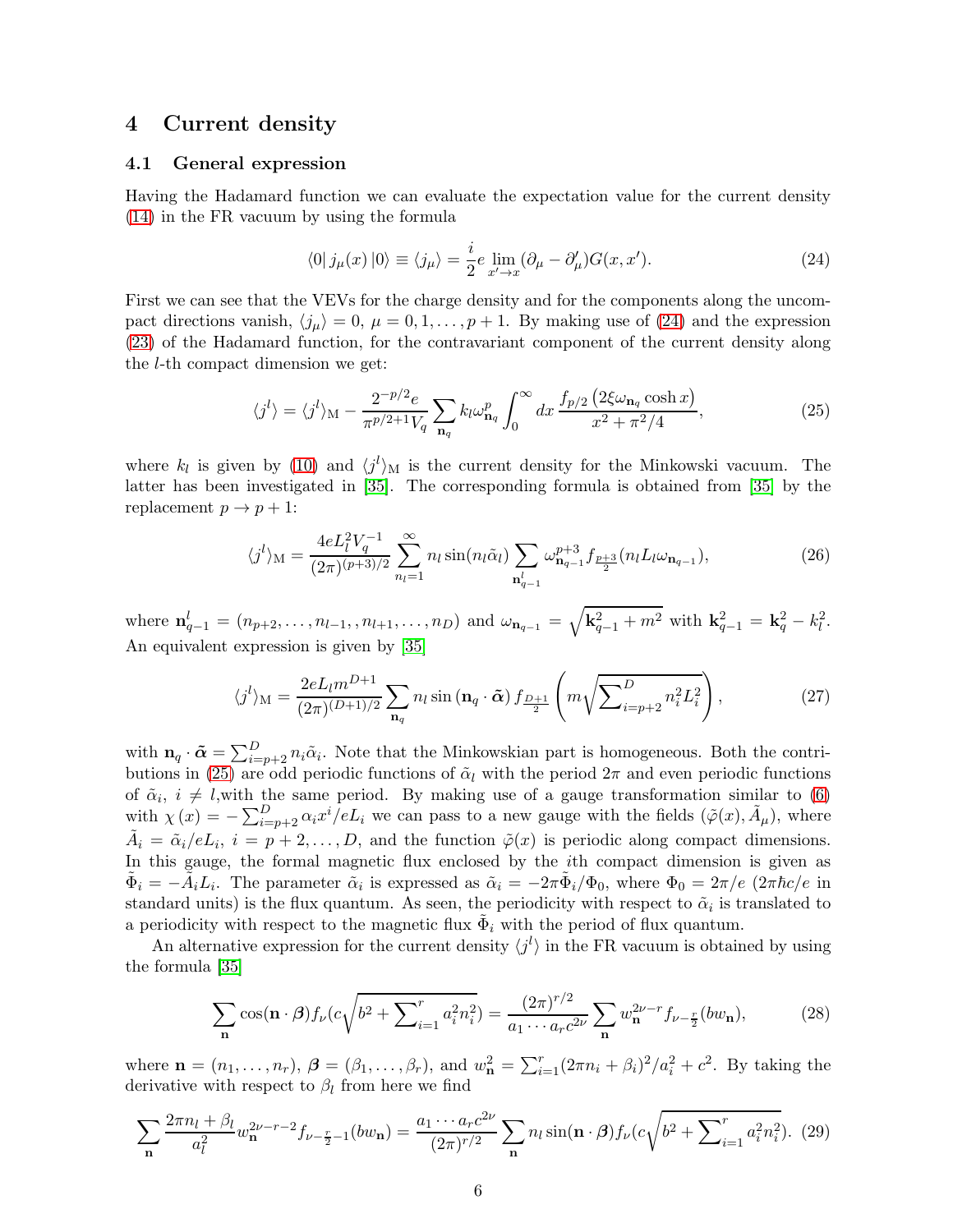### <span id="page-5-0"></span>4 Current density

#### 4.1 General expression

Having the Hadamard function we can evaluate the expectation value for the current density [\(14\)](#page-3-2) in the FR vacuum by using the formula

<span id="page-5-1"></span>
$$
\langle 0 | j_{\mu}(x) | 0 \rangle \equiv \langle j_{\mu} \rangle = \frac{i}{2} e \lim_{x' \to x} (\partial_{\mu} - \partial_{\mu}') G(x, x'). \tag{24}
$$

First we can see that the VEVs for the charge density and for the components along the uncompact directions vanish,  $\langle j_\mu \rangle = 0$ ,  $\mu = 0, 1, \ldots, p + 1$ . By making use of [\(24\)](#page-5-1) and the expression [\(23\)](#page-4-4) of the Hadamard function, for the contravariant component of the current density along the l-th compact dimension we get:

<span id="page-5-2"></span>
$$
\langle j^l \rangle = \langle j^l \rangle_{\mathcal{M}} - \frac{2^{-p/2} e}{\pi^{p/2+1} V_q} \sum_{\mathbf{n}_q} k_l \omega_{\mathbf{n}_q}^p \int_0^\infty dx \, \frac{f_{p/2} \left( 2\xi \omega_{\mathbf{n}_q} \cosh x \right)}{x^2 + \pi^2/4},\tag{25}
$$

where  $k_l$  is given by [\(10\)](#page-3-3) and  $\langle j^l \rangle_M$  is the current density for the Minkowski vacuum. The latter has been investigated in [\[35\]](#page-15-3). The corresponding formula is obtained from [\[35\]](#page-15-3) by the replacement  $p \to p + 1$ :

<span id="page-5-4"></span>
$$
\langle j^{l} \rangle_{\mathcal{M}} = \frac{4eL_{l}^{2}V_{q}^{-1}}{(2\pi)^{(p+3)/2}} \sum_{n_{l}=1}^{\infty} n_{l} \sin(n_{l}\tilde{\alpha}_{l}) \sum_{\mathbf{n}_{q-1}^{l}} \omega_{\mathbf{n}_{q-1}}^{p+3} f_{\frac{p+3}{2}}(n_{l}L_{l}\omega_{\mathbf{n}_{q-1}}), \tag{26}
$$

where  $\mathbf{n}_{q-1}^l = (n_{p+2}, \ldots, n_{l-1}, n_{l+1}, \ldots, n_D)$  and  $\omega_{\mathbf{n}_{q-1}} = \sqrt{\mathbf{k}_{q-1}^2 + m^2}$  with  $\mathbf{k}_{q-1}^2 = \mathbf{k}_q^2 - k_l^2$ . An equivalent expression is given by [\[35\]](#page-15-3)

<span id="page-5-3"></span>
$$
\langle j^{l} \rangle_{\mathcal{M}} = \frac{2eL_{l}m^{D+1}}{(2\pi)^{(D+1)/2}} \sum_{\mathbf{n}_{q}} n_{l} \sin(\mathbf{n}_{q} \cdot \tilde{\boldsymbol{\alpha}}) f_{\frac{D+1}{2}} \left( m \sqrt{\sum_{i=p+2}^{D} n_{i}^{2} L_{i}^{2}} \right), \tag{27}
$$

with  $\mathbf{n}_q \cdot \tilde{\boldsymbol{\alpha}} = \sum_{i=p+2}^D n_i \tilde{\alpha}_i$ . Note that the Minkowskian part is homogeneous. Both the contri-butions in [\(25\)](#page-5-2) are odd periodic functions of  $\tilde{\alpha}_l$  with the period  $2\pi$  and even periodic functions of  $\tilde{\alpha}_i$ ,  $i \neq l$ ,with the same period. By making use of a gauge transformation similar to [\(6\)](#page-2-6) with  $\chi(x) = -\sum_{i=p+2}^{D} \alpha_i x^i / eL_i$  we can pass to a new gauge with the fields  $(\tilde{\varphi}(x), \tilde{A}_{\mu})$ , where  $\tilde{A}_i = \tilde{\alpha}_i / e L_i$ ,  $i = p + 2, ..., D$ , and the function  $\tilde{\varphi}(x)$  is periodic along compact dimensions. In this gauge, the formal magnetic flux enclosed by the ith compact dimension is given as  $\tilde{\Phi}_i = -\tilde{A}_i L_i$ . The parameter  $\tilde{\alpha}_i$  is expressed as  $\tilde{\alpha}_i = -2\pi \tilde{\Phi}_i/\Phi_0$ , where  $\Phi_0 = 2\pi/e \left(2\pi \hbar c/e \text{ in } \Phi_0\right)$ standard units) is the flux quantum. As seen, the periodicity with respect to  $\tilde{\alpha}_i$  is translated to a periodicity with respect to the magnetic flux  $\tilde{\Phi}_i$  with the period of flux quantum.

An alternative expression for the current density  $\langle j^l \rangle$  in the FR vacuum is obtained by using the formula [\[35\]](#page-15-3)

$$
\sum_{\mathbf{n}} \cos(\mathbf{n} \cdot \beta) f_{\nu} (c \sqrt{b^2 + \sum_{i=1}^r a_i^2 n_i^2}) = \frac{(2\pi)^{r/2}}{a_1 \cdots a_r c^{2\nu}} \sum_{\mathbf{n}} w_{\mathbf{n}}^{2\nu - r} f_{\nu - \frac{r}{2}} (bw_{\mathbf{n}}),\tag{28}
$$

where  $\mathbf{n} = (n_1, ..., n_r)$ ,  $\boldsymbol{\beta} = (\beta_1, ..., \beta_r)$ , and  $w_{\mathbf{n}}^2 = \sum_{i=1}^r (2\pi n_i + \beta_i)^2 / a_i^2 + c^2$ . By taking the derivative with respect to  $\beta_l$  from here we find

$$
\sum_{\mathbf{n}} \frac{2\pi n_l + \beta_l}{a_l^2} w_{\mathbf{n}}^{2\nu - r - 2} f_{\nu - \frac{r}{2} - 1}(bw_{\mathbf{n}}) = \frac{a_1 \cdots a_r c^{2\nu}}{(2\pi)^{r/2}} \sum_{\mathbf{n}} n_l \sin(\mathbf{n} \cdot \boldsymbol{\beta}) f_{\nu}(c \sqrt{b^2 + \sum_{i=1}^r a_i^2 n_i^2}). \tag{29}
$$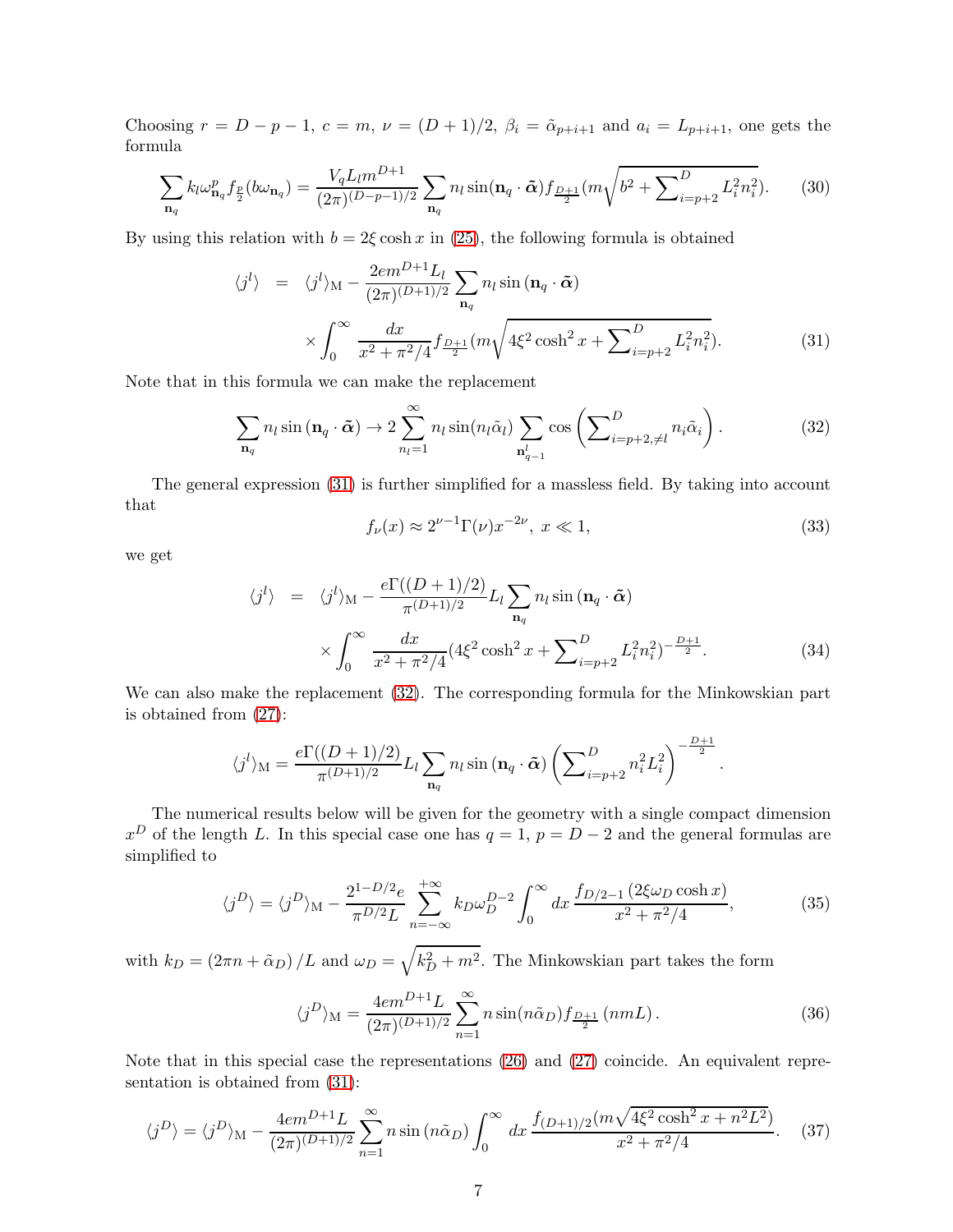Choosing  $r = D - p - 1$ ,  $c = m$ ,  $\nu = (D + 1)/2$ ,  $\beta_i = \tilde{\alpha}_{p+i+1}$  and  $a_i = L_{p+i+1}$ , one gets the formula

$$
\sum_{\mathbf{n}_q} k_l \omega_{\mathbf{n}_q}^p f_{\frac{p}{2}}(b\omega_{\mathbf{n}_q}) = \frac{V_q L_l m^{D+1}}{(2\pi)^{(D-p-1)/2}} \sum_{\mathbf{n}_q} n_l \sin(\mathbf{n}_q \cdot \tilde{\boldsymbol{\alpha}}) f_{\frac{D+1}{2}}(m \sqrt{b^2 + \sum_{i=p+2}^D L_i^2 n_i^2}). \tag{30}
$$

By using this relation with  $b = 2\xi \cosh x$  in [\(25\)](#page-5-2), the following formula is obtained

<span id="page-6-0"></span>
$$
\langle j^{l} \rangle = \langle j^{l} \rangle_{\mathcal{M}} - \frac{2em^{D+1}L_{l}}{(2\pi)^{(D+1)/2}} \sum_{\mathbf{n}_{q}} n_{l} \sin(\mathbf{n}_{q} \cdot \tilde{\boldsymbol{\alpha}})
$$

$$
\times \int_{0}^{\infty} \frac{dx}{x^{2} + \pi^{2}/4} f_{\frac{D+1}{2}}(m\sqrt{4\xi^{2} \cosh^{2} x + \sum_{i=p+2}^{D} L_{i}^{2} n_{i}^{2}}). \tag{31}
$$

Note that in this formula we can make the replacement

<span id="page-6-1"></span>
$$
\sum_{\mathbf{n}_q} n_l \sin(\mathbf{n}_q \cdot \tilde{\boldsymbol{\alpha}}) \to 2 \sum_{n_l=1}^{\infty} n_l \sin(n_l \tilde{\alpha}_l) \sum_{\mathbf{n}_{q-1}^l} \cos\left(\sum_{i=p+2,\neq l}^D n_i \tilde{\alpha}_i\right).
$$
 (32)

The general expression [\(31\)](#page-6-0) is further simplified for a massless field. By taking into account that

$$
f_{\nu}(x) \approx 2^{\nu - 1} \Gamma(\nu) x^{-2\nu}, \ x \ll 1,
$$
\n(33)

we get

$$
\langle j^{l} \rangle = \langle j^{l} \rangle_{\mathcal{M}} - \frac{e\Gamma((D+1)/2)}{\pi^{(D+1)/2}} L_{l} \sum_{\mathbf{n}_{q}} n_{l} \sin(\mathbf{n}_{q} \cdot \tilde{\boldsymbol{\alpha}})
$$

$$
\times \int_{0}^{\infty} \frac{dx}{x^{2} + \pi^{2}/4} (4\xi^{2} \cosh^{2} x + \sum_{i=p+2}^{D} L_{i}^{2} n_{i}^{2})^{-\frac{D+1}{2}}.
$$
(34)

We can also make the replacement [\(32\)](#page-6-1). The corresponding formula for the Minkowskian part is obtained from [\(27\)](#page-5-3):

$$
\langle j^{l}\rangle_{\mathcal{M}} = \frac{e\Gamma((D+1)/2)}{\pi^{(D+1)/2}}L_{l}\sum_{\mathbf{n}_{q}}n_{l}\sin(\mathbf{n}_{q}\cdot\tilde{\boldsymbol{\alpha}})\left(\sum\nolimits_{i=p+2}^{D}n_{i}^{2}L_{i}^{2}\right)^{-\frac{D+1}{2}}.
$$

The numerical results below will be given for the geometry with a single compact dimension  $x^D$  of the length L. In this special case one has  $q = 1$ ,  $p = D - 2$  and the general formulas are simplified to

$$
\langle j^D \rangle = \langle j^D \rangle_{\rm M} - \frac{2^{1-D/2}e}{\pi^{D/2}L} \sum_{n=-\infty}^{+\infty} k_D \omega_D^{D-2} \int_0^{\infty} dx \, \frac{f_{D/2-1} \left( 2\xi \omega_D \cosh x \right)}{x^2 + \pi^2/4},\tag{35}
$$

with  $k_D = (2\pi n + \tilde{\alpha}_D)/L$  and  $\omega_D = \sqrt{k_D^2 + m^2}$ . The Minkowskian part takes the form

<span id="page-6-2"></span>
$$
\langle j^D \rangle_{\mathcal{M}} = \frac{4em^{D+1}L}{(2\pi)^{(D+1)/2}} \sum_{n=1}^{\infty} n \sin(n\tilde{\alpha}_D) f_{\frac{D+1}{2}}(nmL). \tag{36}
$$

Note that in this special case the representations [\(26\)](#page-5-4) and [\(27\)](#page-5-3) coincide. An equivalent representation is obtained from [\(31\)](#page-6-0):

$$
\langle j^D \rangle = \langle j^D \rangle_{\rm M} - \frac{4em^{D+1}L}{(2\pi)^{(D+1)/2}} \sum_{n=1}^{\infty} n \sin(n\tilde{\alpha}_D) \int_0^{\infty} dx \frac{f_{(D+1)/2}(m\sqrt{4\xi^2 \cosh^2 x + n^2 L^2})}{x^2 + \pi^2/4}.
$$
 (37)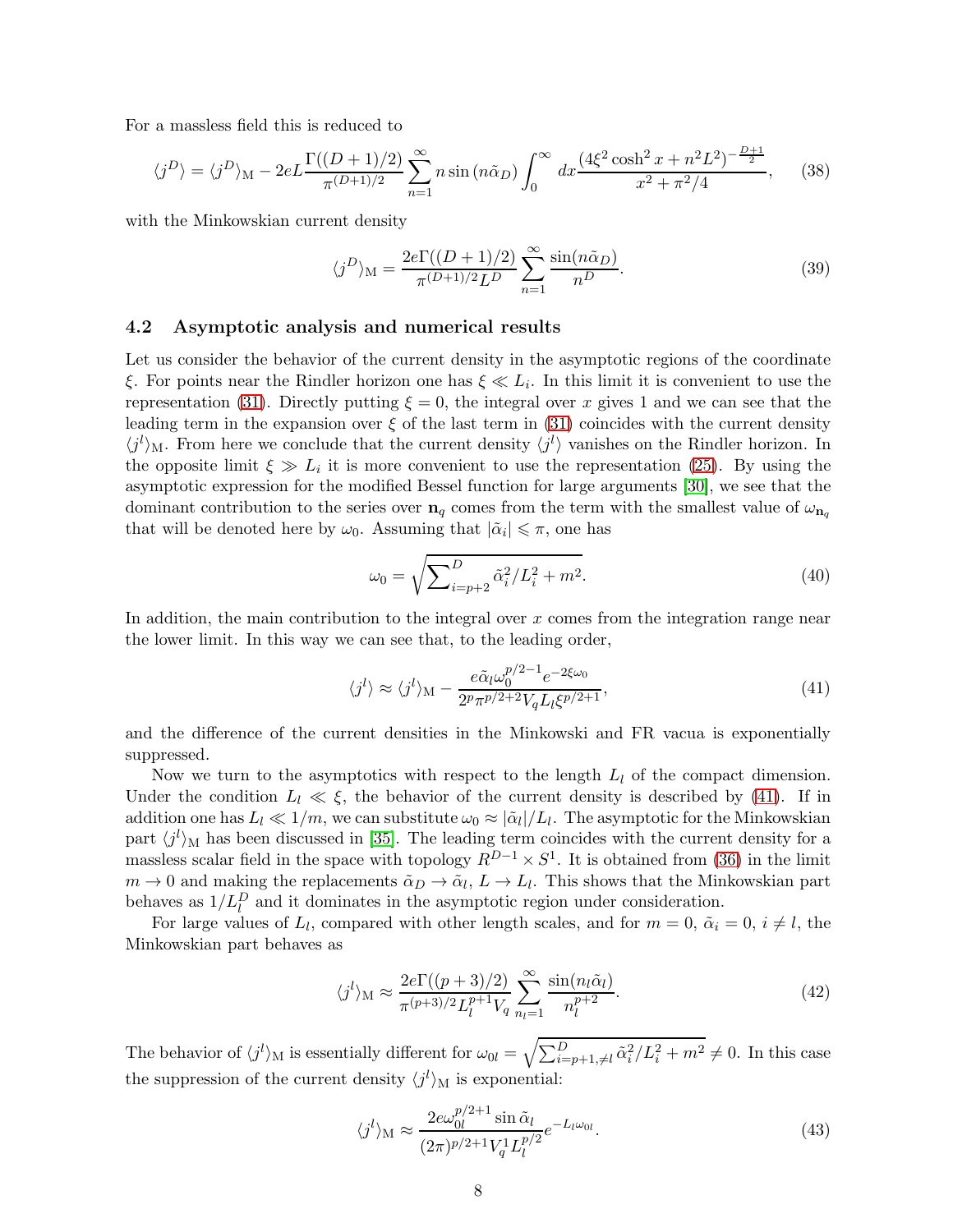For a massless field this is reduced to

$$
\langle j^D \rangle = \langle j^D \rangle_{\rm M} - 2e \int \frac{\Gamma((D+1)/2)}{\pi^{(D+1)/2}} \sum_{n=1}^{\infty} n \sin(n\tilde{\alpha}_D) \int_0^{\infty} dx \frac{(4\xi^2 \cosh^2 x + n^2 L^2)^{-\frac{D+1}{2}}}{x^2 + \pi^2/4},\tag{38}
$$

with the Minkowskian current density

$$
\langle j^D \rangle_{\mathcal{M}} = \frac{2e\Gamma((D+1)/2)}{\pi^{(D+1)/2}L^D} \sum_{n=1}^{\infty} \frac{\sin(n\tilde{\alpha}_D)}{n^D}.
$$
 (39)

#### 4.2 Asymptotic analysis and numerical results

Let us consider the behavior of the current density in the asymptotic regions of the coordinate ξ. For points near the Rindler horizon one has  $\xi \ll L_i$ . In this limit it is convenient to use the representation [\(31\)](#page-6-0). Directly putting  $\xi = 0$ , the integral over x gives 1 and we can see that the leading term in the expansion over  $\xi$  of the last term in [\(31\)](#page-6-0) coincides with the current density  $\langle j^{l} \rangle$ <sub>M</sub>. From here we conclude that the current density  $\langle j^{l} \rangle$  vanishes on the Rindler horizon. In the opposite limit  $\xi \gg L_i$  it is more convenient to use the representation [\(25\)](#page-5-2). By using the asymptotic expression for the modified Bessel function for large arguments [\[30\]](#page-14-7), we see that the dominant contribution to the series over  $n_q$  comes from the term with the smallest value of  $\omega_{n_q}$ that will be denoted here by  $\omega_0$ . Assuming that  $|\tilde{\alpha}_i| \leq \pi$ , one has

$$
\omega_0 = \sqrt{\sum_{i=p+2}^D \tilde{\alpha}_i^2 / L_i^2 + m^2}.
$$
\n(40)

In addition, the main contribution to the integral over  $x$  comes from the integration range near the lower limit. In this way we can see that, to the leading order,

<span id="page-7-0"></span>
$$
\langle j^{l} \rangle \approx \langle j^{l} \rangle_{\mathcal{M}} - \frac{e\tilde{\alpha}_{l}\omega_{0}^{p/2-1}e^{-2\xi\omega_{0}}}{2^{p}\pi^{p/2+2}V_{q}L_{l}\xi^{p/2+1}},\tag{41}
$$

and the difference of the current densities in the Minkowski and FR vacua is exponentially suppressed.

Now we turn to the asymptotics with respect to the length  $L_l$  of the compact dimension. Under the condition  $L_l \ll \xi$ , the behavior of the current density is described by [\(41\)](#page-7-0). If in addition one has  $L_l \ll 1/m$ , we can substitute  $\omega_0 \approx |\tilde{\alpha}_l|/L_l$ . The asymptotic for the Minkowskian part  $\langle j^l \rangle_M$  has been discussed in [\[35\]](#page-15-3). The leading term coincides with the current density for a massless scalar field in the space with topology  $R^{D-1} \times S^1$ . It is obtained from [\(36\)](#page-6-2) in the limit  $m \to 0$  and making the replacements  $\tilde{\alpha}_D \to \tilde{\alpha}_l$ ,  $L \to L_l$ . This shows that the Minkowskian part behaves as  $1/L_l^D$  and it dominates in the asymptotic region under consideration.

For large values of  $L_l$ , compared with other length scales, and for  $m = 0$ ,  $\tilde{\alpha}_i = 0$ ,  $i \neq l$ , the Minkowskian part behaves as

$$
\langle j^l \rangle_M \approx \frac{2e\Gamma((p+3)/2)}{\pi^{(p+3)/2}L_l^{p+1}V_q} \sum_{n_l=1}^{\infty} \frac{\sin(n_l\tilde{\alpha}_l)}{n_l^{p+2}}.
$$
\n(42)

The behavior of  $\langle j^l \rangle_M$  is essentially different for  $\omega_{0l} = \sqrt{\sum_{i=p+1,\neq l}^D \tilde{\alpha}_i^2/L_i^2 + m^2} \neq 0$ . In this case the suppression of the current density  $\langle j^l \rangle_M$  is exponential:

$$
\langle j^{l} \rangle_{\mathcal{M}} \approx \frac{2e\omega_{0l}^{p/2+1} \sin \tilde{\alpha}_{l}}{(2\pi)^{p/2+1} V_{q}^{1} L_{l}^{p/2}} e^{-L_{l}\omega_{0l}}.
$$
\n(43)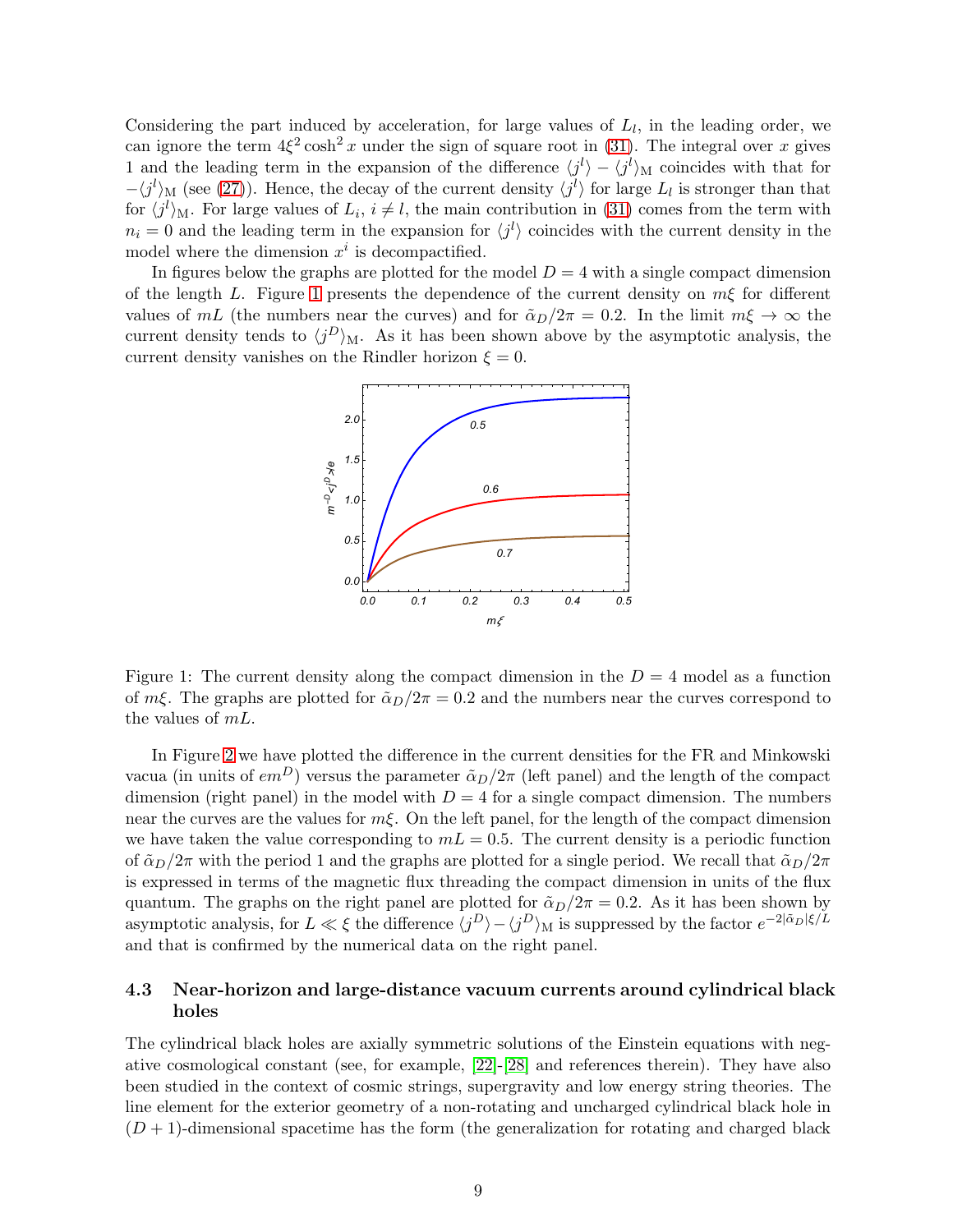Considering the part induced by acceleration, for large values of  $L_l$ , in the leading order, we can ignore the term  $4\xi^2 \cosh^2 x$  under the sign of square root in [\(31\)](#page-6-0). The integral over x gives 1 and the leading term in the expansion of the difference  $\langle j^l \rangle - \langle j^l \rangle_M$  coincides with that for  $-\langle j^{l}\rangle_{\text{M}}$  (see [\(27\)](#page-5-3)). Hence, the decay of the current density  $\langle j^{l}\rangle$  for large  $L_{l}$  is stronger than that for  $\langle j^l \rangle_M$ . For large values of  $L_i$ ,  $i \neq l$ , the main contribution in [\(31\)](#page-6-0) comes from the term with  $n_i = 0$  and the leading term in the expansion for  $\langle j^l \rangle$  coincides with the current density in the model where the dimension  $x^i$  is decompactified.

In figures below the graphs are plotted for the model  $D = 4$  with a single compact dimension of the length L. Figure [1](#page-8-0) presents the dependence of the current density on  $m\xi$  for different values of mL (the numbers near the curves) and for  $\tilde{\alpha}_D/2\pi = 0.2$ . In the limit  $m\xi \to \infty$  the current density tends to  $\langle j^D \rangle_M$ . As it has been shown above by the asymptotic analysis, the current density vanishes on the Rindler horizon  $\xi = 0$ .



<span id="page-8-0"></span>Figure 1: The current density along the compact dimension in the  $D = 4$  model as a function of  $m\xi$ . The graphs are plotted for  $\tilde{\alpha}_D/2\pi = 0.2$  and the numbers near the curves correspond to the values of  $mL$ .

In Figure [2](#page-9-0) we have plotted the difference in the current densities for the FR and Minkowski vacua (in units of  $em^D$ ) versus the parameter  $\tilde{\alpha}_D/2\pi$  (left panel) and the length of the compact dimension (right panel) in the model with  $D = 4$  for a single compact dimension. The numbers near the curves are the values for  $m\xi$ . On the left panel, for the length of the compact dimension we have taken the value corresponding to  $mL = 0.5$ . The current density is a periodic function of  $\tilde{\alpha}_D/2\pi$  with the period 1 and the graphs are plotted for a single period. We recall that  $\tilde{\alpha}_D/2\pi$ is expressed in terms of the magnetic flux threading the compact dimension in units of the flux quantum. The graphs on the right panel are plotted for  $\tilde{\alpha}_D/2\pi = 0.2$ . As it has been shown by asymptotic analysis, for  $L \ll \xi$  the difference  $\langle j^D \rangle - \langle j^D \rangle_M$  is suppressed by the factor  $e^{-2|\tilde{\alpha}_D|\xi/L}$ and that is confirmed by the numerical data on the right panel.

### 4.3 Near-horizon and large-distance vacuum currents around cylindrical black holes

The cylindrical black holes are axially symmetric solutions of the Einstein equations with negative cosmological constant (see, for example, [\[22\]](#page-14-4)-[\[28\]](#page-14-5) and references therein). They have also been studied in the context of cosmic strings, supergravity and low energy string theories. The line element for the exterior geometry of a non-rotating and uncharged cylindrical black hole in  $(D+1)$ -dimensional spacetime has the form (the generalization for rotating and charged black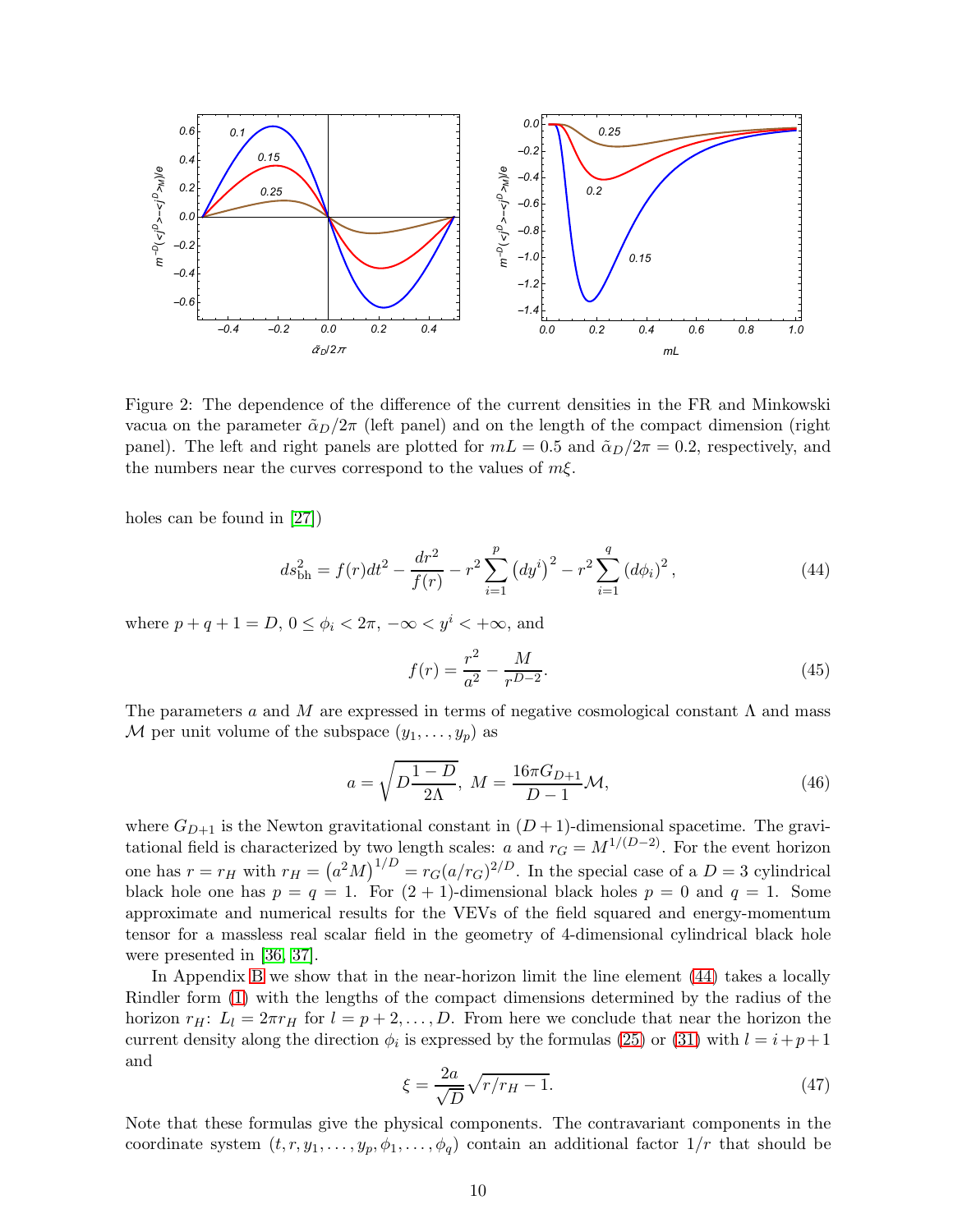

<span id="page-9-0"></span>Figure 2: The dependence of the difference of the current densities in the FR and Minkowski vacua on the parameter  $\tilde{\alpha}_D/2\pi$  (left panel) and on the length of the compact dimension (right panel). The left and right panels are plotted for  $mL = 0.5$  and  $\tilde{\alpha}_D/2\pi = 0.2$ , respectively, and the numbers near the curves correspond to the values of  $m\xi$ .

holes can be found in [\[27\]](#page-14-9))

<span id="page-9-1"></span>
$$
ds_{\text{bh}}^2 = f(r)dt^2 - \frac{dr^2}{f(r)} - r^2 \sum_{i=1}^p (dy^i)^2 - r^2 \sum_{i=1}^q (d\phi_i)^2, \qquad (44)
$$

where  $p+q+1=D$ ,  $0 \leq \phi_i \leq 2\pi$ ,  $-\infty \leq y^i \leq +\infty$ , and

$$
f(r) = \frac{r^2}{a^2} - \frac{M}{r^{D-2}}.\tag{45}
$$

The parameters a and M are expressed in terms of negative cosmological constant  $\Lambda$  and mass M per unit volume of the subspace  $(y_1, \ldots, y_p)$  as

$$
a = \sqrt{D \frac{1 - D}{2\Lambda}}, \ M = \frac{16\pi G_{D+1}}{D - 1} \mathcal{M},
$$
\n(46)

where  $G_{D+1}$  is the Newton gravitational constant in  $(D+1)$ -dimensional spacetime. The gravitational field is characterized by two length scales: a and  $r_G = M^{1/(D-2)}$ . For the event horizon one has  $r = r_H$  with  $r_H = (a^2 M)^{1/D} = r_G (a/r_G)^{2/D}$ . In the special case of a  $D = 3$  cylindrical black hole one has  $p = q = 1$ . For  $(2 + 1)$ -dimensional black holes  $p = 0$  and  $q = 1$ . Some approximate and numerical results for the VEVs of the field squared and energy-momentum tensor for a massless real scalar field in the geometry of 4-dimensional cylindrical black hole were presented in [\[36,](#page-15-4) [37\]](#page-15-5).

In Appendix [B](#page-12-0) we show that in the near-horizon limit the line element [\(44\)](#page-9-1) takes a locally Rindler form [\(1\)](#page-1-0) with the lengths of the compact dimensions determined by the radius of the horizon  $r_H$ :  $L_l = 2\pi r_H$  for  $l = p + 2, \ldots, D$ . From here we conclude that near the horizon the current density along the direction  $\phi_i$  is expressed by the formulas [\(25\)](#page-5-2) or [\(31\)](#page-6-0) with  $l = i + p + 1$ and

$$
\xi = \frac{2a}{\sqrt{D}}\sqrt{r/r_H - 1}.\tag{47}
$$

Note that these formulas give the physical components. The contravariant components in the coordinate system  $(t, r, y_1, \ldots, y_p, \phi_1, \ldots, \phi_q)$  contain an additional factor  $1/r$  that should be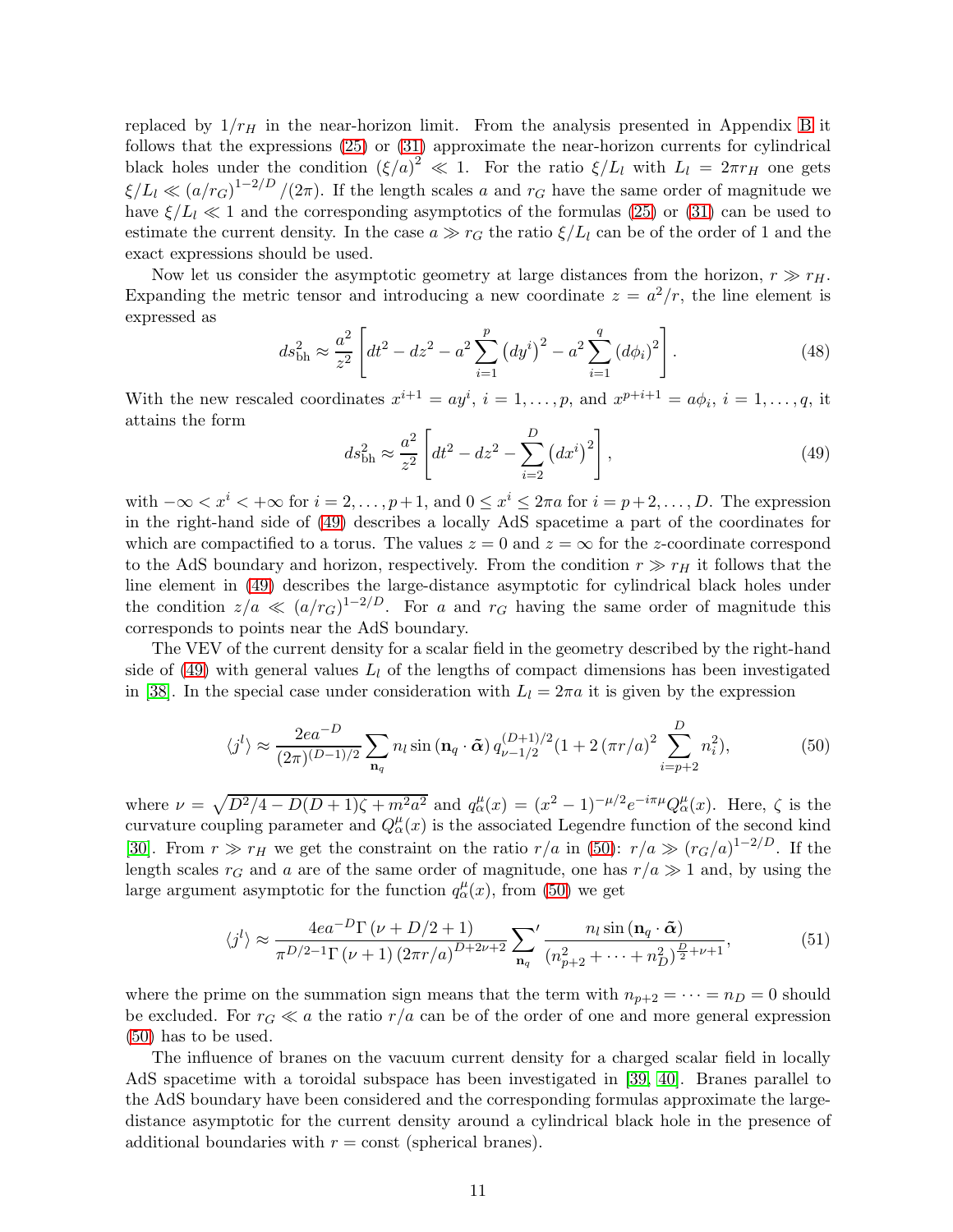replaced by  $1/r_H$  in the near-horizon limit. From the analysis presented in Appendix [B](#page-12-0) it follows that the expressions [\(25\)](#page-5-2) or [\(31\)](#page-6-0) approximate the near-horizon currents for cylindrical black holes under the condition  $(\xi/a)^2 \ll 1$ . For the ratio  $\xi/L_l$  with  $L_l = 2\pi r_H$  one gets  $\xi/L_l \ll (a/r_G)^{1-2/D}/(2\pi)$ . If the length scales a and  $r_G$  have the same order of magnitude we have  $\xi/L_l \ll 1$  and the corresponding asymptotics of the formulas [\(25\)](#page-5-2) or [\(31\)](#page-6-0) can be used to estimate the current density. In the case  $a \gg r_G$  the ratio  $\xi/L_l$  can be of the order of 1 and the exact expressions should be used.

Now let us consider the asymptotic geometry at large distances from the horizon,  $r \gg r_H$ . Expanding the metric tensor and introducing a new coordinate  $z = a^2/r$ , the line element is expressed as

$$
ds_{\rm bh}^2 \approx \frac{a^2}{z^2} \left[ dt^2 - dz^2 - a^2 \sum_{i=1}^p \left( dy^i \right)^2 - a^2 \sum_{i=1}^q \left( d\phi_i \right)^2 \right]. \tag{48}
$$

With the new rescaled coordinates  $x^{i+1} = ay^i$ ,  $i = 1, ..., p$ , and  $x^{p+i+1} = a\phi_i$ ,  $i = 1, ..., q$ , it attains the form

<span id="page-10-0"></span>
$$
ds_{\rm bh}^2 \approx \frac{a^2}{z^2} \left[ dt^2 - dz^2 - \sum_{i=2}^D (dx^i)^2 \right],
$$
 (49)

with  $-\infty < x^i < +\infty$  for  $i = 2, ..., p+1$ , and  $0 \le x^i \le 2\pi a$  for  $i = p+2, ..., D$ . The expression in the right-hand side of [\(49\)](#page-10-0) describes a locally AdS spacetime a part of the coordinates for which are compactified to a torus. The values  $z = 0$  and  $z = \infty$  for the z-coordinate correspond to the AdS boundary and horizon, respectively. From the condition  $r \gg r_H$  it follows that the line element in [\(49\)](#page-10-0) describes the large-distance asymptotic for cylindrical black holes under the condition  $z/a \ll (a/r_G)^{1-2/D}$ . For a and  $r_G$  having the same order of magnitude this corresponds to points near the AdS boundary.

The VEV of the current density for a scalar field in the geometry described by the right-hand side of [\(49\)](#page-10-0) with general values  $L_l$  of the lengths of compact dimensions has been investigated in [\[38\]](#page-15-6). In the special case under consideration with  $L_l = 2\pi a$  it is given by the expression

<span id="page-10-1"></span>
$$
\langle j^{l} \rangle \approx \frac{2ea^{-D}}{(2\pi)^{(D-1)/2}} \sum_{\mathbf{n}_q} n_l \sin(\mathbf{n}_q \cdot \tilde{\boldsymbol{\alpha}}) q_{\nu-1/2}^{(D+1)/2} (1 + 2(\pi r/a)^2 \sum_{i=p+2}^D n_i^2), \tag{50}
$$

where  $\nu = \sqrt{D^2/4 - D(D+1)\zeta + m^2 a^2}$  and  $q_\alpha^\mu(x) = (x^2 - 1)^{-\mu/2} e^{-i\pi\mu} Q_\alpha^\mu(x)$ . Here,  $\zeta$  is the curvature coupling parameter and  $Q_{\alpha}^{\mu}(x)$  is the associated Legendre function of the second kind [\[30\]](#page-14-7). From  $r \gg r_H$  we get the constraint on the ratio  $r/a$  in [\(50\)](#page-10-1):  $r/a \gg (r_G/a)^{1-2/D}$ . If the length scales  $r_G$  and a are of the same order of magnitude, one has  $r/a \gg 1$  and, by using the large argument asymptotic for the function  $q_\alpha^\mu(x)$ , from [\(50\)](#page-10-1) we get

$$
\langle j^{l}\rangle \approx \frac{4ea^{-D}\Gamma(\nu+D/2+1)}{\pi^{D/2-1}\Gamma(\nu+1)\left(2\pi r/a\right)^{D+2\nu+2}} \sum_{\mathbf{n}_q}^{\prime} \frac{n_l \sin(\mathbf{n}_q \cdot \tilde{\boldsymbol{\alpha}})}{(n_{p+2}^2 + \dots + n_D^2)^{\frac{D}{2}+\nu+1}},\tag{51}
$$

where the prime on the summation sign means that the term with  $n_{p+2} = \cdots = n_D = 0$  should be excluded. For  $r_G \ll a$  the ratio  $r/a$  can be of the order of one and more general expression [\(50\)](#page-10-1) has to be used.

The influence of branes on the vacuum current density for a charged scalar field in locally AdS spacetime with a toroidal subspace has been investigated in [\[39,](#page-15-7) [40\]](#page-15-8). Branes parallel to the AdS boundary have been considered and the corresponding formulas approximate the largedistance asymptotic for the current density around a cylindrical black hole in the presence of additional boundaries with  $r = \text{const}$  (spherical branes).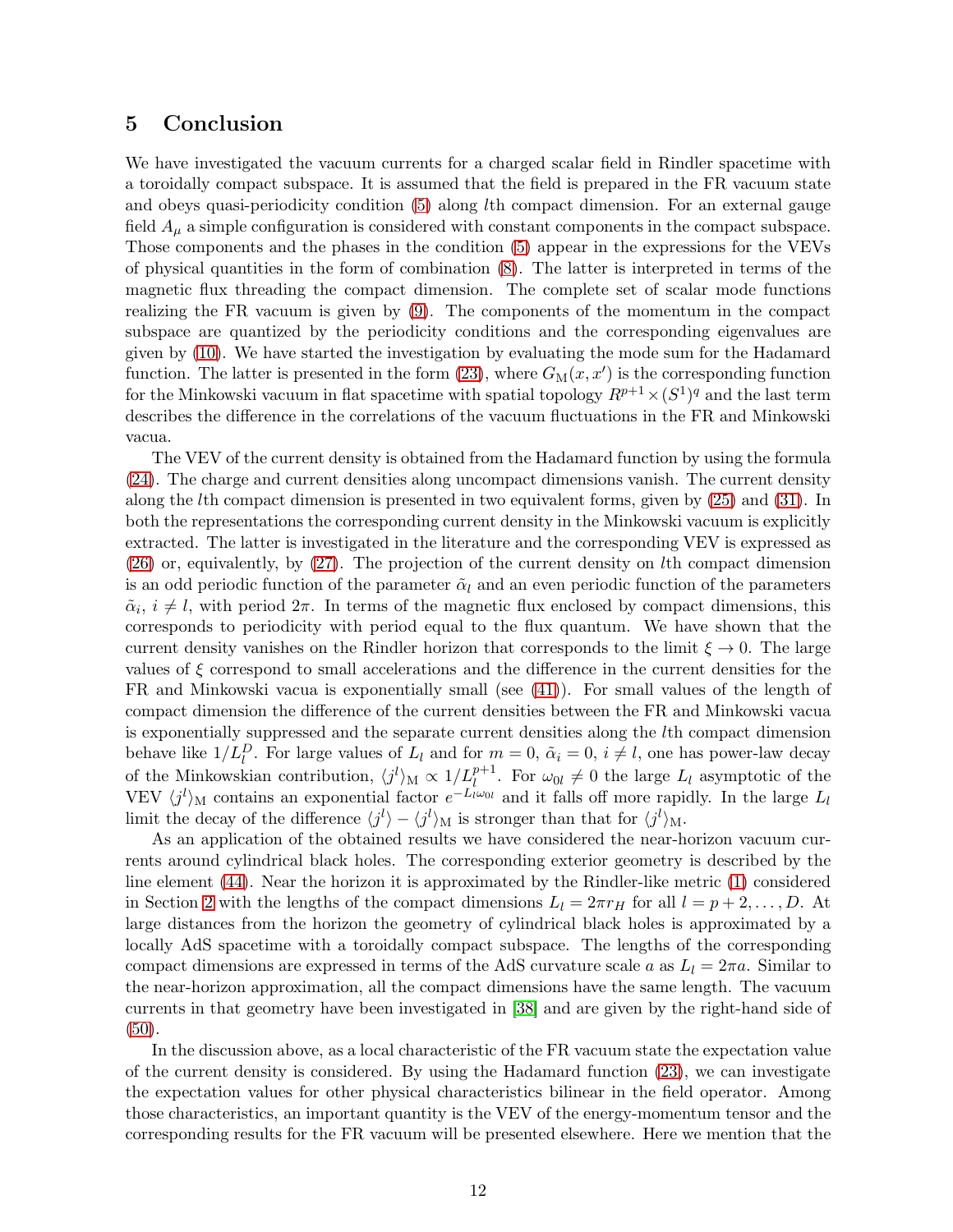### <span id="page-11-0"></span>5 Conclusion

We have investigated the vacuum currents for a charged scalar field in Rindler spacetime with a toroidally compact subspace. It is assumed that the field is prepared in the FR vacuum state and obeys quasi-periodicity condition [\(5\)](#page-2-2) along lth compact dimension. For an external gauge field  $A_{\mu}$  a simple configuration is considered with constant components in the compact subspace. Those components and the phases in the condition [\(5\)](#page-2-2) appear in the expressions for the VEVs of physical quantities in the form of combination [\(8\)](#page-2-3). The latter is interpreted in terms of the magnetic flux threading the compact dimension. The complete set of scalar mode functions realizing the FR vacuum is given by [\(9\)](#page-3-1). The components of the momentum in the compact subspace are quantized by the periodicity conditions and the corresponding eigenvalues are given by [\(10\)](#page-3-3). We have started the investigation by evaluating the mode sum for the Hadamard function. The latter is presented in the form  $(23)$ , where  $G_M(x, x')$  is the corresponding function for the Minkowski vacuum in flat spacetime with spatial topology  $R^{p+1} \times (S^1)^q$  and the last term describes the difference in the correlations of the vacuum fluctuations in the FR and Minkowski vacua.

The VEV of the current density is obtained from the Hadamard function by using the formula [\(24\)](#page-5-1). The charge and current densities along uncompact dimensions vanish. The current density along the lth compact dimension is presented in two equivalent forms, given by [\(25\)](#page-5-2) and [\(31\)](#page-6-0). In both the representations the corresponding current density in the Minkowski vacuum is explicitly extracted. The latter is investigated in the literature and the corresponding VEV is expressed as [\(26\)](#page-5-4) or, equivalently, by [\(27\)](#page-5-3). The projection of the current density on lth compact dimension is an odd periodic function of the parameter  $\tilde{\alpha}_l$  and an even periodic function of the parameters  $\tilde{\alpha}_i, i \neq l$ , with period  $2\pi$ . In terms of the magnetic flux enclosed by compact dimensions, this corresponds to periodicity with period equal to the flux quantum. We have shown that the current density vanishes on the Rindler horizon that corresponds to the limit  $\xi \to 0$ . The large values of  $\xi$  correspond to small accelerations and the difference in the current densities for the FR and Minkowski vacua is exponentially small (see [\(41\)](#page-7-0)). For small values of the length of compact dimension the difference of the current densities between the FR and Minkowski vacua is exponentially suppressed and the separate current densities along the lth compact dimension behave like  $1/L_l^D$ . For large values of  $L_l$  and for  $m = 0$ ,  $\tilde{\alpha}_i = 0$ ,  $i \neq l$ , one has power-law decay of the Minkowskian contribution,  $\langle j^l \rangle_M \propto 1/L_l^{p+1}$ . For  $\omega_{0l} \neq 0$  the large  $L_l$  asymptotic of the VEV  $\langle j^l \rangle_M$  contains an exponential factor  $e^{-L_l \omega_{0l}}$  and it falls off more rapidly. In the large  $L_l$ limit the decay of the difference  $\langle j^l \rangle - \langle j^l \rangle_M$  is stronger than that for  $\langle j^l \rangle_M$ .

As an application of the obtained results we have considered the near-horizon vacuum currents around cylindrical black holes. The corresponding exterior geometry is described by the line element [\(44\)](#page-9-1). Near the horizon it is approximated by the Rindler-like metric [\(1\)](#page-1-0) considered in Section [2](#page-1-1) with the lengths of the compact dimensions  $L_l = 2\pi r_H$  for all  $l = p + 2, \ldots, D$ . At large distances from the horizon the geometry of cylindrical black holes is approximated by a locally AdS spacetime with a toroidally compact subspace. The lengths of the corresponding compact dimensions are expressed in terms of the AdS curvature scale a as  $L_l = 2\pi a$ . Similar to the near-horizon approximation, all the compact dimensions have the same length. The vacuum currents in that geometry have been investigated in [\[38\]](#page-15-6) and are given by the right-hand side of [\(50\)](#page-10-1).

In the discussion above, as a local characteristic of the FR vacuum state the expectation value of the current density is considered. By using the Hadamard function [\(23\)](#page-4-4), we can investigate the expectation values for other physical characteristics bilinear in the field operator. Among those characteristics, an important quantity is the VEV of the energy-momentum tensor and the corresponding results for the FR vacuum will be presented elsewhere. Here we mention that the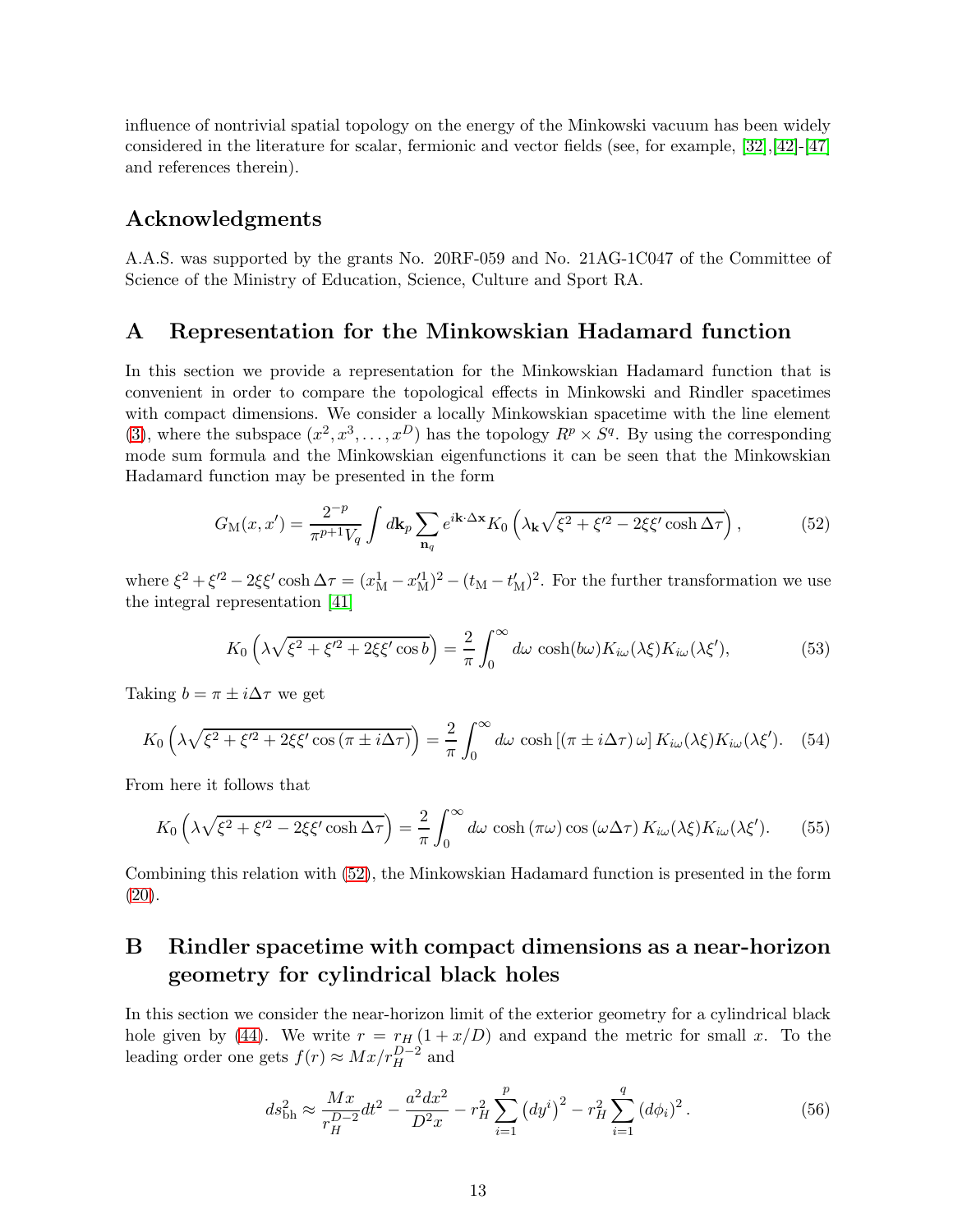influence of nontrivial spatial topology on the energy of the Minkowski vacuum has been widely considered in the literature for scalar, fermionic and vector fields (see, for example, [\[32\]](#page-15-0),[\[42\]](#page-15-9)-[\[47\]](#page-15-10) and references therein).

### Acknowledgments

A.A.S. was supported by the grants No. 20RF-059 and No. 21AG-1C047 of the Committee of Science of the Ministry of Education, Science, Culture and Sport RA.

### <span id="page-12-1"></span>A Representation for the Minkowskian Hadamard function

In this section we provide a representation for the Minkowskian Hadamard function that is convenient in order to compare the topological effects in Minkowski and Rindler spacetimes with compact dimensions. We consider a locally Minkowskian spacetime with the line element [\(3\)](#page-2-5), where the subspace  $(x^2, x^3, \dots, x^D)$  has the topology  $R^p \times S^q$ . By using the corresponding mode sum formula and the Minkowskian eigenfunctions it can be seen that the Minkowskian Hadamard function may be presented in the form

<span id="page-12-2"></span>
$$
G_{\rm M}(x,x') = \frac{2^{-p}}{\pi^{p+1}V_q} \int d\mathbf{k}_p \sum_{\mathbf{n}_q} e^{i\mathbf{k}\cdot\Delta\mathbf{x}} K_0 \left(\lambda_\mathbf{k}\sqrt{\xi^2 + \xi'^2 - 2\xi\xi'\cosh\Delta\tau}\right),\tag{52}
$$

where  $\xi^2 + \xi'^2 - 2\xi \xi' \cosh \Delta \tau = (x_M^1 - x_M^1)^2 - (t_M - t_M^1)^2$ . For the further transformation we use the integral representation [\[41\]](#page-15-11)

$$
K_0\left(\lambda\sqrt{\xi^2+\xi'^2+2\xi\xi'\cos b}\right) = \frac{2}{\pi}\int_0^\infty d\omega\,\cosh(b\omega)K_{i\omega}(\lambda\xi)K_{i\omega}(\lambda\xi'),\tag{53}
$$

Taking  $b = \pi \pm i \Delta \tau$  we get

$$
K_0\left(\lambda\sqrt{\xi^2+\xi'^2+2\xi\xi'\cos\left(\pi\pm i\Delta\tau\right)}\right)=\frac{2}{\pi}\int_0^\infty d\omega\,\cosh\left[\left(\pi\pm i\Delta\tau\right)\omega\right]K_{i\omega}(\lambda\xi)K_{i\omega}(\lambda\xi').\tag{54}
$$

From here it follows that

$$
K_0\left(\lambda\sqrt{\xi^2+\xi'^2-2\xi\xi'\cosh\Delta\tau}\right)=\frac{2}{\pi}\int_0^\infty d\omega\,\cosh\left(\pi\omega\right)\cos\left(\omega\Delta\tau\right)K_{i\omega}(\lambda\xi)K_{i\omega}(\lambda\xi').\tag{55}
$$

Combining this relation with [\(52\)](#page-12-2), the Minkowskian Hadamard function is presented in the form [\(20\)](#page-4-1).

## <span id="page-12-0"></span>B Rindler spacetime with compact dimensions as a near-horizon geometry for cylindrical black holes

In this section we consider the near-horizon limit of the exterior geometry for a cylindrical black hole given by [\(44\)](#page-9-1). We write  $r = r_H (1 + x/D)$  and expand the metric for small x. To the leading order one gets  $f(r) \approx Mx/r_H^{D-2}$  and

$$
ds_{\text{bh}}^2 \approx \frac{Mx}{r_H^{D-2}} dt^2 - \frac{a^2 dx^2}{D^2 x} - r_H^2 \sum_{i=1}^p (dy^i)^2 - r_H^2 \sum_{i=1}^q (d\phi_i)^2. \tag{56}
$$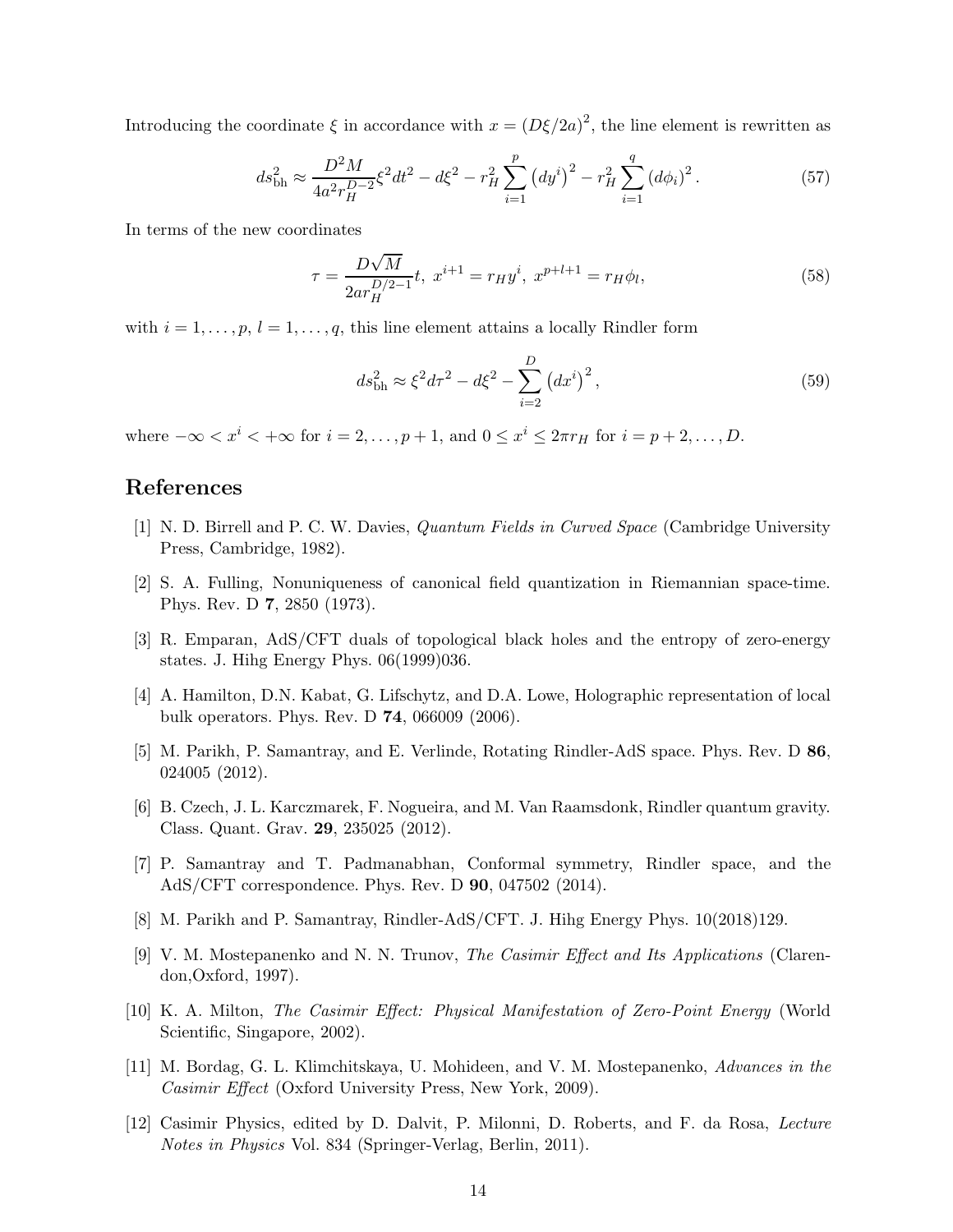Introducing the coordinate  $\xi$  in accordance with  $x = (D\xi/2a)^2$ , the line element is rewritten as

$$
ds_{\text{bh}}^2 \approx \frac{D^2 M}{4a^2 r_H^{D-2}} \xi^2 dt^2 - d\xi^2 - r_H^2 \sum_{i=1}^p \left( dy^i \right)^2 - r_H^2 \sum_{i=1}^q \left( d\phi_i \right)^2. \tag{57}
$$

In terms of the new coordinates

$$
\tau = \frac{D\sqrt{M}}{2ar_H^{D/2-1}}t, \ x^{i+1} = r_H y^i, \ x^{p+l+1} = r_H \phi_l,
$$
\n(58)

with  $i = 1, \ldots, p, l = 1, \ldots, q$ , this line element attains a locally Rindler form

$$
ds_{\text{bh}}^2 \approx \xi^2 d\tau^2 - d\xi^2 - \sum_{i=2}^{D} (dx^i)^2,
$$
\n(59)

where  $-\infty < x^i < +\infty$  for  $i = 2, \ldots, p + 1$ , and  $0 \le x^i \le 2\pi r_H$  for  $i = p + 2, \ldots, D$ .

### <span id="page-13-0"></span>References

- <span id="page-13-1"></span>[1] N. D. Birrell and P. C. W. Davies, Quantum Fields in Curved Space (Cambridge University Press, Cambridge, 1982).
- <span id="page-13-2"></span>[2] S. A. Fulling, Nonuniqueness of canonical field quantization in Riemannian space-time. Phys. Rev. D 7, 2850 (1973).
- [3] R. Emparan, AdS/CFT duals of topological black holes and the entropy of zero-energy states. J. Hihg Energy Phys. 06(1999)036.
- [4] A. Hamilton, D.N. Kabat, G. Lifschytz, and D.A. Lowe, Holographic representation of local bulk operators. Phys. Rev. D 74, 066009 (2006).
- [5] M. Parikh, P. Samantray, and E. Verlinde, Rotating Rindler-AdS space. Phys. Rev. D 86, 024005 (2012).
- [6] B. Czech, J. L. Karczmarek, F. Nogueira, and M. Van Raamsdonk, Rindler quantum gravity. Class. Quant. Grav. 29, 235025 (2012).
- [7] P. Samantray and T. Padmanabhan, Conformal symmetry, Rindler space, and the AdS/CFT correspondence. Phys. Rev. D 90, 047502 (2014).
- <span id="page-13-4"></span><span id="page-13-3"></span>[8] M. Parikh and P. Samantray, Rindler-AdS/CFT. J. Hihg Energy Phys. 10(2018)129.
- [9] V. M. Mostepanenko and N. N. Trunov, The Casimir Effect and Its Applications (Clarendon,Oxford, 1997).
- [10] K. A. Milton, The Casimir Effect: Physical Manifestation of Zero-Point Energy (World Scientific, Singapore, 2002).
- [11] M. Bordag, G. L. Klimchitskaya, U. Mohideen, and V. M. Mostepanenko, Advances in the Casimir Effect (Oxford University Press, New York, 2009).
- <span id="page-13-5"></span>[12] Casimir Physics, edited by D. Dalvit, P. Milonni, D. Roberts, and F. da Rosa, Lecture Notes in Physics Vol. 834 (Springer-Verlag, Berlin, 2011).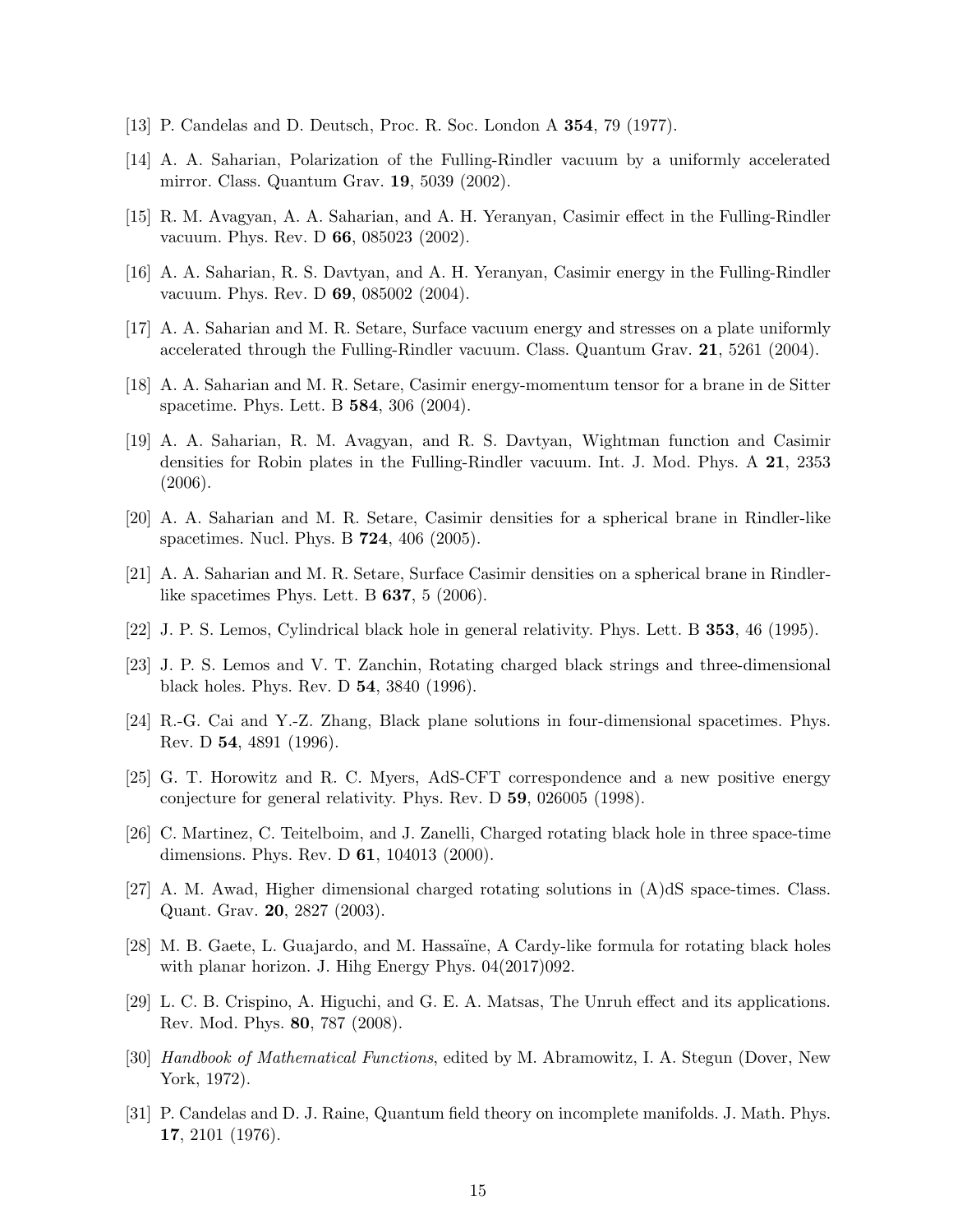- <span id="page-14-0"></span>[13] P. Candelas and D. Deutsch, Proc. R. Soc. London A 354, 79 (1977).
- [14] A. A. Saharian, Polarization of the Fulling-Rindler vacuum by a uniformly accelerated mirror. Class. Quantum Grav. 19, 5039 (2002).
- [15] R. M. Avagyan, A. A. Saharian, and A. H. Yeranyan, Casimir effect in the Fulling-Rindler vacuum. Phys. Rev. D 66, 085023 (2002).
- [16] A. A. Saharian, R. S. Davtyan, and A. H. Yeranyan, Casimir energy in the Fulling-Rindler vacuum. Phys. Rev. D 69, 085002 (2004).
- [17] A. A. Saharian and M. R. Setare, Surface vacuum energy and stresses on a plate uniformly accelerated through the Fulling-Rindler vacuum. Class. Quantum Grav. 21, 5261 (2004).
- <span id="page-14-1"></span>[18] A. A. Saharian and M. R. Setare, Casimir energy-momentum tensor for a brane in de Sitter spacetime. Phys. Lett. B 584, 306 (2004).
- [19] A. A. Saharian, R. M. Avagyan, and R. S. Davtyan, Wightman function and Casimir densities for Robin plates in the Fulling-Rindler vacuum. Int. J. Mod. Phys. A 21, 2353 (2006).
- <span id="page-14-3"></span><span id="page-14-2"></span>[20] A. A. Saharian and M. R. Setare, Casimir densities for a spherical brane in Rindler-like spacetimes. Nucl. Phys. B 724, 406 (2005).
- <span id="page-14-4"></span>[21] A. A. Saharian and M. R. Setare, Surface Casimir densities on a spherical brane in Rindlerlike spacetimes Phys. Lett. B 637, 5 (2006).
- [22] J. P. S. Lemos, Cylindrical black hole in general relativity. Phys. Lett. B 353, 46 (1995).
- [23] J. P. S. Lemos and V. T. Zanchin, Rotating charged black strings and three-dimensional black holes. Phys. Rev. D 54, 3840 (1996).
- [24] R.-G. Cai and Y.-Z. Zhang, Black plane solutions in four-dimensional spacetimes. Phys. Rev. D 54, 4891 (1996).
- [25] G. T. Horowitz and R. C. Myers, AdS-CFT correspondence and a new positive energy conjecture for general relativity. Phys. Rev. D 59, 026005 (1998).
- <span id="page-14-9"></span>[26] C. Martinez, C. Teitelboim, and J. Zanelli, Charged rotating black hole in three space-time dimensions. Phys. Rev. D 61, 104013 (2000).
- [27] A. M. Awad, Higher dimensional charged rotating solutions in (A)dS space-times. Class. Quant. Grav. 20, 2827 (2003).
- <span id="page-14-5"></span>[28] M. B. Gaete, L. Guajardo, and M. Hassaïne, A Cardy-like formula for rotating black holes with planar horizon. J. Hihg Energy Phys. 04(2017)092.
- <span id="page-14-6"></span>[29] L. C. B. Crispino, A. Higuchi, and G. E. A. Matsas, The Unruh effect and its applications. Rev. Mod. Phys. 80, 787 (2008).
- <span id="page-14-7"></span>[30] Handbook of Mathematical Functions, edited by M. Abramowitz, I. A. Stegun (Dover, New York, 1972).
- <span id="page-14-8"></span>[31] P. Candelas and D. J. Raine, Quantum field theory on incomplete manifolds. J. Math. Phys. 17, 2101 (1976).